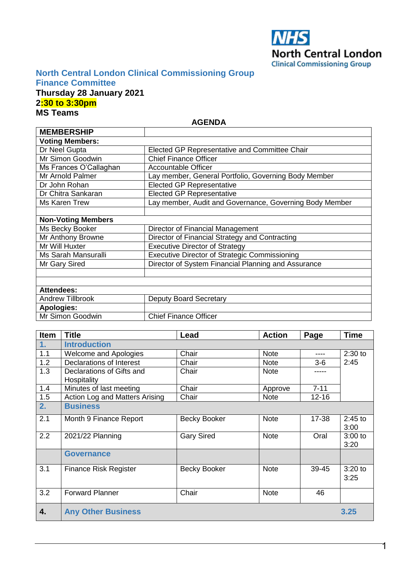

### **North Central London Clinical Commissioning Group Finance Committee**

Mr Simon Goodwin | Chief Finance Officer

### **Thursday 28 January 2021 2:30 to 3:30pm MS Teams**

**AGENDA**

| <b>MEMBERSHIP</b>         |                                                         |
|---------------------------|---------------------------------------------------------|
| <b>Voting Members:</b>    |                                                         |
| Dr Neel Gupta             | Elected GP Representative and Committee Chair           |
| Mr Simon Goodwin          | <b>Chief Finance Officer</b>                            |
| Ms Frances O'Callaghan    | <b>Accountable Officer</b>                              |
| Mr Arnold Palmer          | Lay member, General Portfolio, Governing Body Member    |
| Dr John Rohan             | <b>Elected GP Representative</b>                        |
| Dr Chitra Sankaran        | <b>Elected GP Representative</b>                        |
| Ms Karen Trew             | Lay member, Audit and Governance, Governing Body Member |
|                           |                                                         |
| <b>Non-Voting Members</b> |                                                         |
| Ms Becky Booker           | Director of Financial Management                        |
| Mr Anthony Browne         | Director of Financial Strategy and Contracting          |
| Mr Will Huxter            | <b>Executive Director of Strategy</b>                   |
| Ms Sarah Mansuralli       | <b>Executive Director of Strategic Commissioning</b>    |
| Mr Gary Sired             | Director of System Financial Planning and Assurance     |
|                           |                                                         |
|                           |                                                         |
| <b>Attendees:</b>         |                                                         |
| <b>Andrew Tillbrook</b>   | <b>Deputy Board Secretary</b>                           |
| <b>Apologies:</b>         |                                                         |

| Item | <b>Title</b>                             | Lead                | <b>Action</b> | Page      | Time              |
|------|------------------------------------------|---------------------|---------------|-----------|-------------------|
| 1.   | <b>Introduction</b>                      |                     |               |           |                   |
| 1.1  | <b>Welcome and Apologies</b>             | Chair               | <b>Note</b>   | ----      | $2:30$ to         |
| 1.2  | Declarations of Interest                 | Chair               | <b>Note</b>   | $3-6$     | 2:45              |
| 1.3  | Declarations of Gifts and<br>Hospitality | Chair               | <b>Note</b>   |           |                   |
| 1.4  | Minutes of last meeting                  | Chair               | Approve       | $7 - 11$  |                   |
| 1.5  | Action Log and Matters Arising           | Chair               | <b>Note</b>   | $12 - 16$ |                   |
| 2.   | <b>Business</b>                          |                     |               |           |                   |
| 2.1  | Month 9 Finance Report                   | <b>Becky Booker</b> | <b>Note</b>   | 17-38     | $2:45$ to<br>3:00 |
| 2.2  | 2021/22 Planning                         | <b>Gary Sired</b>   | <b>Note</b>   | Oral      | $3:00$ to<br>3:20 |
|      | <b>Governance</b>                        |                     |               |           |                   |
| 3.1  | <b>Finance Risk Register</b>             | <b>Becky Booker</b> | <b>Note</b>   | 39-45     | $3:20$ to<br>3:25 |
| 3.2  | <b>Forward Planner</b>                   | Chair               | <b>Note</b>   | 46        |                   |
| 4.   | <b>Any Other Business</b>                |                     |               |           | 3.25              |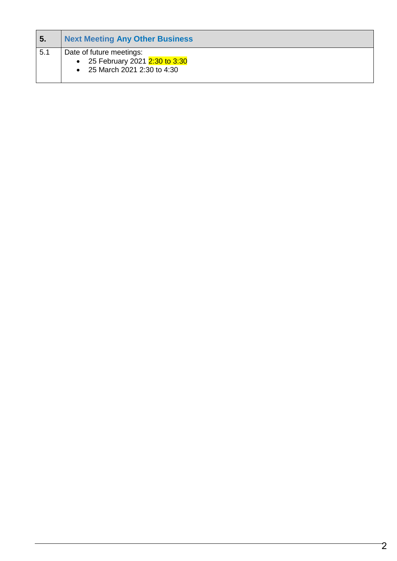| <b>5.</b> | <b>Next Meeting Any Other Business</b>                                                    |
|-----------|-------------------------------------------------------------------------------------------|
| 5.1       | Date of future meetings:<br>• 25 February 2021 2:30 to 3:30<br>25 March 2021 2:30 to 4:30 |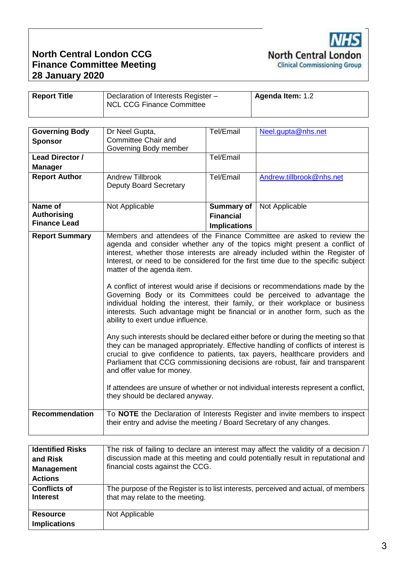### **North Central London CCG Finance Committee Meeting 28 January 2020**

| <b>Report Title</b> | Declaration of Interests Register -<br>NCL CCG Finance Committee | <b>Agenda Item: 1.2</b> |
|---------------------|------------------------------------------------------------------|-------------------------|

| <b>Governing Body</b><br><b>Sponsor</b>              | Dr Neel Gupta,<br><b>Committee Chair and</b><br>Governing Body member                                                            | Tel/Email                                                    | Neel.gupta@nhs.net                                                                                                                                                                                                                                                                                                                                                                                                                                                                                                                                                                                                                                                                                                                                                                                                                                                                                                                                                                                                                                                                     |
|------------------------------------------------------|----------------------------------------------------------------------------------------------------------------------------------|--------------------------------------------------------------|----------------------------------------------------------------------------------------------------------------------------------------------------------------------------------------------------------------------------------------------------------------------------------------------------------------------------------------------------------------------------------------------------------------------------------------------------------------------------------------------------------------------------------------------------------------------------------------------------------------------------------------------------------------------------------------------------------------------------------------------------------------------------------------------------------------------------------------------------------------------------------------------------------------------------------------------------------------------------------------------------------------------------------------------------------------------------------------|
| Lead Director /<br><b>Manager</b>                    |                                                                                                                                  | Tel/Email                                                    |                                                                                                                                                                                                                                                                                                                                                                                                                                                                                                                                                                                                                                                                                                                                                                                                                                                                                                                                                                                                                                                                                        |
| <b>Report Author</b>                                 | <b>Andrew Tillbrook</b><br><b>Deputy Board Secretary</b>                                                                         | Tel/Email                                                    | Andrew.tillbrook@nhs.net                                                                                                                                                                                                                                                                                                                                                                                                                                                                                                                                                                                                                                                                                                                                                                                                                                                                                                                                                                                                                                                               |
| Name of<br><b>Authorising</b><br><b>Finance Lead</b> | Not Applicable                                                                                                                   | <b>Summary of</b><br><b>Financial</b><br><b>Implications</b> | Not Applicable                                                                                                                                                                                                                                                                                                                                                                                                                                                                                                                                                                                                                                                                                                                                                                                                                                                                                                                                                                                                                                                                         |
| <b>Report Summary</b>                                | matter of the agenda item.<br>ability to exert undue influence.<br>and offer value for money.<br>they should be declared anyway. |                                                              | Members and attendees of the Finance Committee are asked to review the<br>agenda and consider whether any of the topics might present a conflict of<br>interest, whether those interests are already included within the Register of<br>Interest, or need to be considered for the first time due to the specific subject<br>A conflict of interest would arise if decisions or recommendations made by the<br>Governing Body or its Committees could be perceived to advantage the<br>individual holding the interest, their family, or their workplace or business<br>interests. Such advantage might be financial or in another form, such as the<br>Any such interests should be declared either before or during the meeting so that<br>they can be managed appropriately. Effective handling of conflicts of interest is<br>crucial to give confidence to patients, tax payers, healthcare providers and<br>Parliament that CCG commissioning decisions are robust, fair and transparent<br>If attendees are unsure of whether or not individual interests represent a conflict, |
| <b>Recommendation</b>                                | their entry and advise the meeting / Board Secretary of any changes.                                                             |                                                              | To NOTE the Declaration of Interests Register and invite members to inspect                                                                                                                                                                                                                                                                                                                                                                                                                                                                                                                                                                                                                                                                                                                                                                                                                                                                                                                                                                                                            |

| <b>Identified Risks</b><br>and Risk<br><b>Management</b><br><b>Actions</b> | The risk of failing to declare an interest may affect the validity of a decision /<br>discussion made at this meeting and could potentially result in reputational and<br>financial costs against the CCG. |
|----------------------------------------------------------------------------|------------------------------------------------------------------------------------------------------------------------------------------------------------------------------------------------------------|
| <b>Conflicts of</b><br><b>Interest</b>                                     | The purpose of the Register is to list interests, perceived and actual, of members<br>that may relate to the meeting.                                                                                      |
| <b>Resource</b><br><b>Implications</b>                                     | Not Applicable                                                                                                                                                                                             |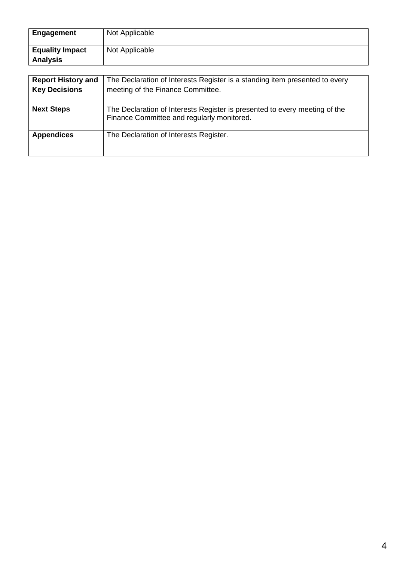| <b>Engagement</b>                         | Not Applicable                                                                                                           |
|-------------------------------------------|--------------------------------------------------------------------------------------------------------------------------|
| <b>Equality Impact</b><br><b>Analysis</b> | Not Applicable                                                                                                           |
|                                           |                                                                                                                          |
| <b>Report History and</b>                 | The Declaration of Interests Register is a standing item presented to every                                              |
| <b>Key Decisions</b>                      | meeting of the Finance Committee.                                                                                        |
| <b>Next Steps</b>                         | The Declaration of Interests Register is presented to every meeting of the<br>Finance Committee and regularly monitored. |
| <b>Appendices</b>                         | The Declaration of Interests Register.                                                                                   |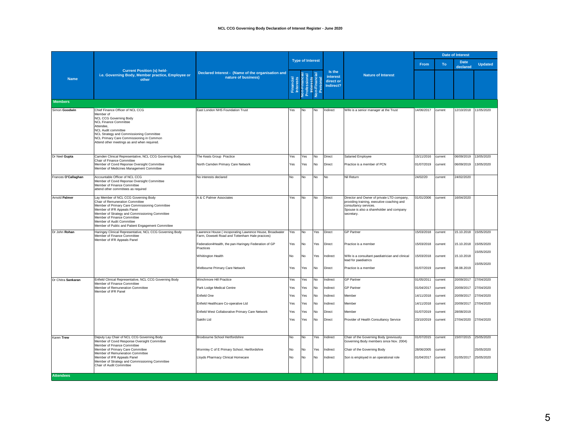#### **NCL CCG Governing Body Declaration of Interest Register - June 2020**

|                     |                                                                                                                                                                                                                                                                                                                             |                                                                                                            |           |                         |           |                                              |                                                                                                                                                                             |                          |                    |                         |                          |  |  |  |  |  |  |  |  |  |  | <b>Date of Interest</b> |  |  |  |
|---------------------|-----------------------------------------------------------------------------------------------------------------------------------------------------------------------------------------------------------------------------------------------------------------------------------------------------------------------------|------------------------------------------------------------------------------------------------------------|-----------|-------------------------|-----------|----------------------------------------------|-----------------------------------------------------------------------------------------------------------------------------------------------------------------------------|--------------------------|--------------------|-------------------------|--------------------------|--|--|--|--|--|--|--|--|--|--|-------------------------|--|--|--|
|                     |                                                                                                                                                                                                                                                                                                                             |                                                                                                            |           | <b>Type of Interest</b> |           |                                              |                                                                                                                                                                             | From                     | To                 | <b>Date</b><br>declared | <b>Updated</b>           |  |  |  |  |  |  |  |  |  |  |                         |  |  |  |
| <b>Name</b>         | <b>Current Position (s) held-</b><br>i.e. Governing Body, Member practice, Employee or<br>other                                                                                                                                                                                                                             | Declared Interest - (Name of the organisation and<br>nature of business)                                   |           | ofessional              |           | Is the<br>interest<br>direct or<br>Indirect? | <b>Nature of Interest</b>                                                                                                                                                   |                          |                    |                         |                          |  |  |  |  |  |  |  |  |  |  |                         |  |  |  |
| <b>Members</b>      |                                                                                                                                                                                                                                                                                                                             |                                                                                                            |           |                         |           |                                              |                                                                                                                                                                             |                          |                    |                         |                          |  |  |  |  |  |  |  |  |  |  |                         |  |  |  |
| Simon Goodwin       | Chief Finance Officer of NCL CCG<br>Member of<br><b>NCL CCG Governing Body</b><br><b>NCL Finance Committee</b><br>Attendee,<br><b>NCL Audit committee</b><br>NCL Strategy and Commissioning Committee<br>NCL Primary Care Commissioning in Common<br>Attend other meetings as and when required.                            | East London NHS Foundation Trust                                                                           | Yes       | No                      | No        | Indirect                                     | Wife is a senior manager at the Trust                                                                                                                                       | 14/06/2017               | current            |                         | 12/10/2018 11/05/2020    |  |  |  |  |  |  |  |  |  |  |                         |  |  |  |
| Dr Neel Gupta       | Camden Clinical Representative, NCL CCG Governing Body<br>Chair of Finance Committee                                                                                                                                                                                                                                        | The Keats Group Practice                                                                                   | Yes       | Yes                     | No        | Direct                                       | Salaried Employee                                                                                                                                                           | 15/11/2016               | current            | 06/09/2019              | 13/05/2020               |  |  |  |  |  |  |  |  |  |  |                         |  |  |  |
|                     | Member of Covid Reponse Oversight Committee<br>Member of Medicines Management Committee                                                                                                                                                                                                                                     | North Camden Primary Care Network                                                                          | Yes       | Yes                     | <b>No</b> | Direct                                       | Practice is a member of PCN                                                                                                                                                 | 01/07/2019               | current            | 06/09/2019              | 13/05/2020               |  |  |  |  |  |  |  |  |  |  |                         |  |  |  |
| Frances O'Callaghan | Accountable Officer of NCL CCG<br>Member of Covid Reponse Oversight Committee<br>Member of Finance Committee<br>attend other commtitees as required                                                                                                                                                                         | No interests declared                                                                                      | No        | No                      | No        | No                                           | Nil Return                                                                                                                                                                  | 24/02/20                 | current            | 24/02/2020              |                          |  |  |  |  |  |  |  |  |  |  |                         |  |  |  |
| Arnold Palmer       | Lay Member of NCL CCG Governing Body<br>Chair of Remuneration Committee<br>Member of Primary Care Commissioning Committee<br>Member of IFR Appeals Panel<br>Member of Strategy and Commissioning Committee<br>Member of Finance Committee<br>Member of Audit Committee<br>Member of Public and Patient Engagement Committee | A & C Palmer Associates                                                                                    | Yes       | No                      | No        | Direct                                       | Director and Owner of private LTD company,<br>providing training, executive coaching and<br>consultancy services.<br>Spouse is also a shareholder and company<br>secretary. | 01/01/2006               | current            | 16/04/2020              |                          |  |  |  |  |  |  |  |  |  |  |                         |  |  |  |
| Dr John Rohan       | Haringey Clinical Representative, NCL CCG Governing Body<br>Member of Finance Committee<br>Member of IFR Appeals Panel                                                                                                                                                                                                      | Lawrence House (incoporating Lawrence House, Broadwater<br>Farm, Dowsett Road and Tottenham Hale pracices) | Yes       | No                      | Yes       | Direct                                       | <b>GP Partner</b>                                                                                                                                                           | 15/03/2018               | current            | 15.10.2018              | 15/05/2020               |  |  |  |  |  |  |  |  |  |  |                         |  |  |  |
|                     |                                                                                                                                                                                                                                                                                                                             | Federation4Health, the pan-Haringey Federation of GP<br>Practices                                          | Yes       | No                      | Yes       | Direct                                       | Practice is a member                                                                                                                                                        | 15/03/2018               | current            | 15.10.2018              | 15/05/2020               |  |  |  |  |  |  |  |  |  |  |                         |  |  |  |
|                     |                                                                                                                                                                                                                                                                                                                             | Whiitington Health                                                                                         | No        | No                      | Yes       | Indirect                                     | Wife is a consultant paediatrician and clinical<br>lead for paediatrics                                                                                                     | 15/03/2018               | current            | 15.10.2018              | 5/05/2020                |  |  |  |  |  |  |  |  |  |  |                         |  |  |  |
|                     |                                                                                                                                                                                                                                                                                                                             | Welbourne Primary Care Network                                                                             | Yes       | Yes                     | <b>No</b> | Direct                                       | Practice is a member                                                                                                                                                        | 01/07/2019               | current            | 08.08.2019              | 15/05/2020               |  |  |  |  |  |  |  |  |  |  |                         |  |  |  |
| Dr Chitra Sankaran  | Enfield Clinical Representative, NCL CCG Governing Body                                                                                                                                                                                                                                                                     | Winchmore Hill Practice                                                                                    | Yes       | Yes                     | <b>No</b> | Indirect                                     | <b>GP Partner</b>                                                                                                                                                           | 01/05/2011               | current            | 20/09/2017              | 27/04/2020               |  |  |  |  |  |  |  |  |  |  |                         |  |  |  |
|                     | Member of Finance Committee<br>Member of Remuneration Committee                                                                                                                                                                                                                                                             | Park Lodge Medical Centre                                                                                  | Yes       | Yes                     | <b>No</b> | Indirect                                     | <b>GP Partner</b>                                                                                                                                                           | 01/04/2017               | current            | 20/09/2017              | 27/04/2020               |  |  |  |  |  |  |  |  |  |  |                         |  |  |  |
|                     | Member of IFR Panel                                                                                                                                                                                                                                                                                                         | Enfield One                                                                                                | Yes       | Yes                     | <b>No</b> | Indirect                                     | Member                                                                                                                                                                      | 14/11/2018               | current            | 20/09/2017              | 27/04/2020               |  |  |  |  |  |  |  |  |  |  |                         |  |  |  |
|                     |                                                                                                                                                                                                                                                                                                                             | Enfield Healthcare Co-operative Ltd                                                                        | Yes       | Yes                     | No        | Indirect                                     | Member                                                                                                                                                                      | 14/11/2018               | current            | 20/09/2017              | 27/04/2020               |  |  |  |  |  |  |  |  |  |  |                         |  |  |  |
|                     |                                                                                                                                                                                                                                                                                                                             | Enfield West Collaborative Primary Care Network                                                            | Yes       | Yes                     | No        | Direct                                       | Member                                                                                                                                                                      | 01/07/2019               | current            | 28/08/2019              |                          |  |  |  |  |  |  |  |  |  |  |                         |  |  |  |
|                     |                                                                                                                                                                                                                                                                                                                             | Sakthi Ltd                                                                                                 | Yes       | Yes                     | No        | Direct                                       | Provider of Health Consultancy Service                                                                                                                                      | 23/10/2019               | current            | 27/04/2020              | 27/04/2020               |  |  |  |  |  |  |  |  |  |  |                         |  |  |  |
| Karen Trew          | Deputy Lay Chair of NCL CCG Governing Body<br>Member of Covid Response Oversight Committee                                                                                                                                                                                                                                  | Broxbourne School Hertfordshire                                                                            | <b>No</b> | No                      | Yes       | Indirect                                     | Chair of the Governing Body (previously<br>Governing Body members since Nov. 2004)                                                                                          | 01/07/2015               | current            | 15/07/2015              | 25/05/2020               |  |  |  |  |  |  |  |  |  |  |                         |  |  |  |
|                     | Member of Finance Committee<br>Member of Primary Care Committee<br>Member of Remuneration Committee<br>Member of IFR Appeals Panel<br>Member of Strategy and Commissioning Committee                                                                                                                                        | Wormley C of E Primary School, Hertfordshire<br>Lloyds Pharmacy Clinical Homecare                          | No<br>No  | No<br>No                | Yes<br>No | Indirect<br>Indirect                         | Chair of the Governing Body<br>Son is employed in an operational role                                                                                                       | 28/06/2005<br>01/04/2017 | current<br>current | 01/05/2017              | 25/05/2020<br>25/05/2020 |  |  |  |  |  |  |  |  |  |  |                         |  |  |  |
|                     | Chair of Audit Committee                                                                                                                                                                                                                                                                                                    |                                                                                                            |           |                         |           |                                              |                                                                                                                                                                             |                          |                    |                         |                          |  |  |  |  |  |  |  |  |  |  |                         |  |  |  |
| <b>Attendees</b>    |                                                                                                                                                                                                                                                                                                                             |                                                                                                            |           |                         |           |                                              |                                                                                                                                                                             |                          |                    |                         |                          |  |  |  |  |  |  |  |  |  |  |                         |  |  |  |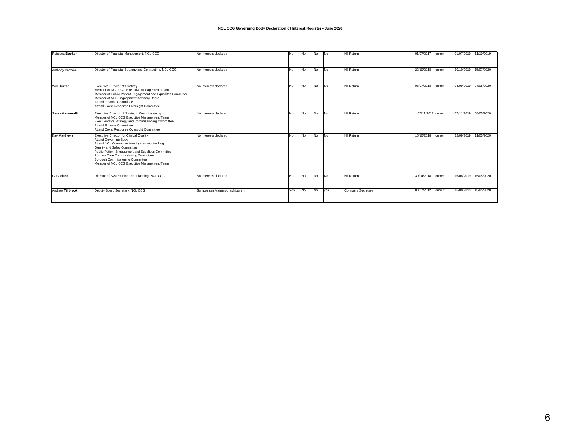#### **NCL CCG Governing Body Declaration of Interest Register - June 2020**

| Rebecca Booker      | Director of Financial Management, NCL CCG                                                                                                                                                                                                                                                                                                       | No interests declared     | No  | No        | <b>No</b> | <b>No</b> | Nil Return        | 01/07/2017         | current | 01/07/2019 11/10/2019 |            |
|---------------------|-------------------------------------------------------------------------------------------------------------------------------------------------------------------------------------------------------------------------------------------------------------------------------------------------------------------------------------------------|---------------------------|-----|-----------|-----------|-----------|-------------------|--------------------|---------|-----------------------|------------|
| Anthony Browne      | Director of Financial Strategy and Contracting, NCL CCG                                                                                                                                                                                                                                                                                         | No interests declared     | No  | No.       | <b>No</b> | <b>No</b> | Nil Return        | 22/10/2018         | current | 10/10/2019            | 15/07/2020 |
| Will Huxter         | <b>Executive Director of Strategy</b><br>Member of NCL CCG Executive Management Team<br>Member of Public Patient Engagement and Equailites Committee<br>Member of NCL Engagement Advisory Board<br><b>Attend Finance Committee</b><br>Attend Covid Response Oversight Committee                                                                 | No interests declared     | No  | No        | <b>No</b> | <b>No</b> | Nil Return        | 03/07/2018         | current | 04/09/2019            | 07/05/2020 |
| Sarah Mansuralli    | Executive Director of Strategic Commissioning<br>Member of NCL CCG Executive Management Team<br>Exec Lead for Strategy and Commissioning Committee<br><b>Attend Finance Committee</b><br>Attend Covid Response Oversight Committee                                                                                                              | No interests declared     | No  | No.       | <b>No</b> | <b>No</b> | Nil Return        | 07/11/2018 current |         | 07/11/2019            | 08/05/2020 |
| <b>Kav Matthews</b> | <b>Executive Director for Clinical Quality</b><br><b>Attend Governing Body</b><br>Attend NCL Committee Meetings as required e.g.<br>Quality and Safey Committee<br>Public Patient Engagement and Equalities Committee<br>Primary Care Commissioning Committee<br>Borough Commissioning Committee<br>Member of NCL CCG Executive Management Team | No interests declared     | No  | No.       | No        | <b>No</b> | Nil Return        | 15/10/2018         | current | 12/09/2019            | 11/05/2020 |
| Gary Sired          | Director of System Financial Planning, NCL CCG                                                                                                                                                                                                                                                                                                  | No interests declared     | No. | <b>No</b> | <b>No</b> | <b>No</b> | Nil Return        | 30/04/2018         | current | 16/08/2019            | 15/05/2020 |
| Andrew Tillbrook    | Deputy Board Secretary, NCL CCG                                                                                                                                                                                                                                                                                                                 | Symposium Mammographicumm | Yes | No        | <b>No</b> | ves       | Company Secretary | 08/07/2012         | current | 15/08/2019            | 15/05/2020 |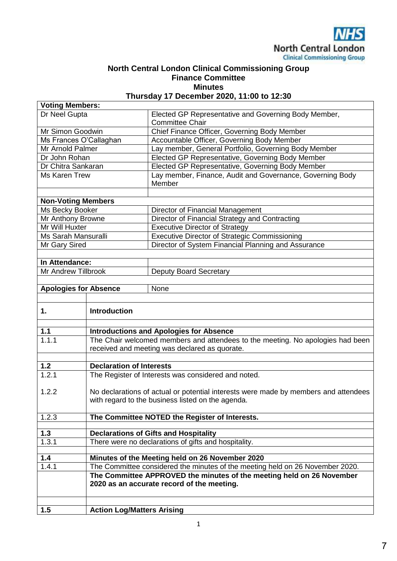

### **North Central London Clinical Commissioning Group Finance Committee Minutes**

**Thursday 17 December 2020, 11:00 to 12:30**

| <b>Voting Members:</b>       |                                                      |                                                                                     |  |  |  |  |  |
|------------------------------|------------------------------------------------------|-------------------------------------------------------------------------------------|--|--|--|--|--|
| Dr Neel Gupta                |                                                      | Elected GP Representative and Governing Body Member,<br><b>Committee Chair</b>      |  |  |  |  |  |
| Mr Simon Goodwin             |                                                      | Chief Finance Officer, Governing Body Member                                        |  |  |  |  |  |
| Ms Frances O'Callaghan       |                                                      | Accountable Officer, Governing Body Member                                          |  |  |  |  |  |
| Mr Arnold Palmer             |                                                      | Lay member, General Portfolio, Governing Body Member                                |  |  |  |  |  |
| Dr John Rohan                |                                                      | Elected GP Representative, Governing Body Member                                    |  |  |  |  |  |
| Dr Chitra Sankaran           |                                                      | Elected GP Representative, Governing Body Member                                    |  |  |  |  |  |
| Ms Karen Trew                |                                                      | Lay member, Finance, Audit and Governance, Governing Body<br>Member                 |  |  |  |  |  |
| <b>Non-Voting Members</b>    |                                                      |                                                                                     |  |  |  |  |  |
| Ms Becky Booker              |                                                      | Director of Financial Management                                                    |  |  |  |  |  |
| Mr Anthony Browne            |                                                      | Director of Financial Strategy and Contracting                                      |  |  |  |  |  |
| Mr Will Huxter               |                                                      | <b>Executive Director of Strategy</b>                                               |  |  |  |  |  |
| Ms Sarah Mansuralli          |                                                      | <b>Executive Director of Strategic Commissioning</b>                                |  |  |  |  |  |
| Mr Gary Sired                |                                                      | Director of System Financial Planning and Assurance                                 |  |  |  |  |  |
|                              |                                                      |                                                                                     |  |  |  |  |  |
| In Attendance:               |                                                      |                                                                                     |  |  |  |  |  |
| <b>Mr Andrew Tillbrook</b>   |                                                      | <b>Deputy Board Secretary</b>                                                       |  |  |  |  |  |
| <b>Apologies for Absence</b> |                                                      | None                                                                                |  |  |  |  |  |
|                              |                                                      |                                                                                     |  |  |  |  |  |
|                              |                                                      |                                                                                     |  |  |  |  |  |
| 1.                           | <b>Introduction</b>                                  |                                                                                     |  |  |  |  |  |
| 1.1                          | <b>Introductions and Apologies for Absence</b>       |                                                                                     |  |  |  |  |  |
| 1.1.1                        |                                                      | The Chair welcomed members and attendees to the meeting. No apologies had been      |  |  |  |  |  |
|                              | received and meeting was declared as quorate.        |                                                                                     |  |  |  |  |  |
|                              |                                                      |                                                                                     |  |  |  |  |  |
| $1.2$                        | <b>Declaration of Interests</b>                      |                                                                                     |  |  |  |  |  |
| 1.2.1                        | The Register of Interests was considered and noted.  |                                                                                     |  |  |  |  |  |
| 1.2.2                        |                                                      | No declarations of actual or potential interests were made by members and attendees |  |  |  |  |  |
|                              | with regard to the business listed on the agenda.    |                                                                                     |  |  |  |  |  |
| 1.2.3                        | The Committee NOTED the Register of Interests.       |                                                                                     |  |  |  |  |  |
|                              |                                                      |                                                                                     |  |  |  |  |  |
| $1.3$                        | <b>Declarations of Gifts and Hospitality</b>         |                                                                                     |  |  |  |  |  |
| 1.3.1                        | There were no declarations of gifts and hospitality. |                                                                                     |  |  |  |  |  |
| 1.4                          |                                                      | Minutes of the Meeting held on 26 November 2020                                     |  |  |  |  |  |
| 1.4.1                        |                                                      | The Committee considered the minutes of the meeting held on 26 November 2020.       |  |  |  |  |  |
|                              |                                                      | The Committee APPROVED the minutes of the meeting held on 26 November               |  |  |  |  |  |
|                              |                                                      | 2020 as an accurate record of the meeting.                                          |  |  |  |  |  |
|                              |                                                      |                                                                                     |  |  |  |  |  |
| 1.5                          | <b>Action Log/Matters Arising</b>                    |                                                                                     |  |  |  |  |  |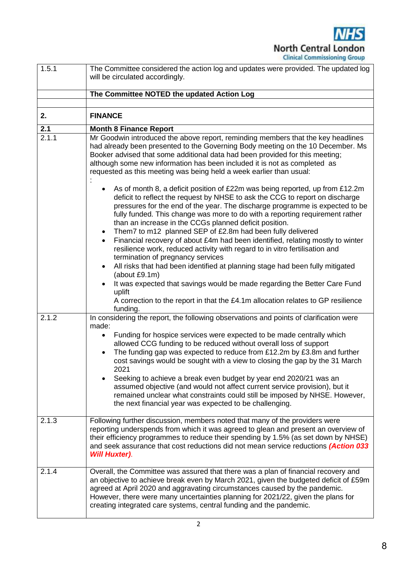**NHS North Central London Clinical Commissioning Group** 

| 1.5.1        | The Committee considered the action log and updates were provided. The updated log<br>will be circulated accordingly.                                                                                                                                                                                                                                                                                                                                                                                                                                                   |  |  |  |  |  |
|--------------|-------------------------------------------------------------------------------------------------------------------------------------------------------------------------------------------------------------------------------------------------------------------------------------------------------------------------------------------------------------------------------------------------------------------------------------------------------------------------------------------------------------------------------------------------------------------------|--|--|--|--|--|
|              | The Committee NOTED the updated Action Log                                                                                                                                                                                                                                                                                                                                                                                                                                                                                                                              |  |  |  |  |  |
|              |                                                                                                                                                                                                                                                                                                                                                                                                                                                                                                                                                                         |  |  |  |  |  |
| 2.           | <b>FINANCE</b>                                                                                                                                                                                                                                                                                                                                                                                                                                                                                                                                                          |  |  |  |  |  |
| 2.1<br>2.1.1 | <b>Month 8 Finance Report</b>                                                                                                                                                                                                                                                                                                                                                                                                                                                                                                                                           |  |  |  |  |  |
|              | Mr Goodwin introduced the above report, reminding members that the key headlines<br>had already been presented to the Governing Body meeting on the 10 December. Ms<br>Booker advised that some additional data had been provided for this meeting;<br>although some new information has been included it is not as completed as<br>requested as this meeting was being held a week earlier than usual:<br>As of month 8, a deficit position of £22m was being reported, up from £12.2m<br>deficit to reflect the request by NHSE to ask the CCG to report on discharge |  |  |  |  |  |
|              | pressures for the end of the year. The discharge programme is expected to be<br>fully funded. This change was more to do with a reporting requirement rather<br>than an increase in the CCGs planned deficit position.<br>Them7 to m12 planned SEP of £2.8m had been fully delivered<br>$\bullet$                                                                                                                                                                                                                                                                       |  |  |  |  |  |
|              | Financial recovery of about £4m had been identified, relating mostly to winter<br>$\bullet$<br>resilience work, reduced activity with regard to in vitro fertilisation and<br>termination of pregnancy services                                                                                                                                                                                                                                                                                                                                                         |  |  |  |  |  |
|              | All risks that had been identified at planning stage had been fully mitigated<br>(about £9.1m)                                                                                                                                                                                                                                                                                                                                                                                                                                                                          |  |  |  |  |  |
|              | It was expected that savings would be made regarding the Better Care Fund<br>uplift<br>A correction to the report in that the £4.1m allocation relates to GP resilience<br>funding.                                                                                                                                                                                                                                                                                                                                                                                     |  |  |  |  |  |
| 2.1.2        | In considering the report, the following observations and points of clarification were<br>made:                                                                                                                                                                                                                                                                                                                                                                                                                                                                         |  |  |  |  |  |
|              | Funding for hospice services were expected to be made centrally which<br>allowed CCG funding to be reduced without overall loss of support<br>The funding gap was expected to reduce from £12.2m by £3.8m and further<br>$\bullet$<br>cost savings would be sought with a view to closing the gap by the 31 March<br>2021<br>Seeking to achieve a break even budget by year end 2020/21 was an<br>assumed objective (and would not affect current service provision), but it<br>remained unclear what constraints could still be imposed by NHSE. However,              |  |  |  |  |  |
|              | the next financial year was expected to be challenging.                                                                                                                                                                                                                                                                                                                                                                                                                                                                                                                 |  |  |  |  |  |
| 2.1.3        | Following further discussion, members noted that many of the providers were<br>reporting underspends from which it was agreed to glean and present an overview of<br>their efficiency programmes to reduce their spending by 1.5% (as set down by NHSE)<br>and seek assurance that cost reductions did not mean service reductions (Action 033<br><b>Will Huxter).</b>                                                                                                                                                                                                  |  |  |  |  |  |
| 2.1.4        | Overall, the Committee was assured that there was a plan of financial recovery and<br>an objective to achieve break even by March 2021, given the budgeted deficit of £59m<br>agreed at April 2020 and aggravating circumstances caused by the pandemic.<br>However, there were many uncertainties planning for 2021/22, given the plans for<br>creating integrated care systems, central funding and the pandemic.                                                                                                                                                     |  |  |  |  |  |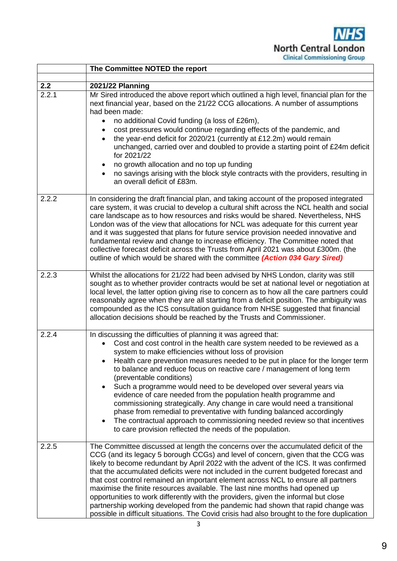**NHS North Central London Clinical Commissioning Group** 

|              | The Committee NOTED the report                                                                                                                                                                                                                                                                                                                                                                                                                                                                                                                                                                                                                                                                                                                                                                                                         |
|--------------|----------------------------------------------------------------------------------------------------------------------------------------------------------------------------------------------------------------------------------------------------------------------------------------------------------------------------------------------------------------------------------------------------------------------------------------------------------------------------------------------------------------------------------------------------------------------------------------------------------------------------------------------------------------------------------------------------------------------------------------------------------------------------------------------------------------------------------------|
|              |                                                                                                                                                                                                                                                                                                                                                                                                                                                                                                                                                                                                                                                                                                                                                                                                                                        |
| 2.2<br>2.2.1 | <b>2021/22 Planning</b><br>Mr Sired introduced the above report which outlined a high level, financial plan for the<br>next financial year, based on the 21/22 CCG allocations. A number of assumptions<br>had been made:<br>no additional Covid funding (a loss of £26m),<br>cost pressures would continue regarding effects of the pandemic, and<br>the year-end deficit for 2020/21 (currently at £12.2m) would remain<br>unchanged, carried over and doubled to provide a starting point of £24m deficit<br>for 2021/22<br>no growth allocation and no top up funding<br>no savings arising with the block style contracts with the providers, resulting in<br>an overall deficit of £83m.                                                                                                                                         |
| 2.2.2        | In considering the draft financial plan, and taking account of the proposed integrated<br>care system, it was crucial to develop a cultural shift across the NCL health and social<br>care landscape as to how resources and risks would be shared. Nevertheless, NHS<br>London was of the view that allocations for NCL was adequate for this current year<br>and it was suggested that plans for future service provision needed innovative and<br>fundamental review and change to increase efficiency. The Committee noted that<br>collective forecast deficit across the Trusts from April 2021 was about £300m. (the<br>outline of which would be shared with the committee (Action 034 Gary Sired)                                                                                                                              |
| 2.2.3        | Whilst the allocations for 21/22 had been advised by NHS London, clarity was still<br>sought as to whether provider contracts would be set at national level or negotiation at<br>local level, the latter option giving rise to concern as to how all the care partners could<br>reasonably agree when they are all starting from a deficit position. The ambiguity was<br>compounded as the ICS consultation guidance from NHSE suggested that financial<br>allocation decisions should be reached by the Trusts and Commissioner.                                                                                                                                                                                                                                                                                                    |
| 2.2.4        | In discussing the difficulties of planning it was agreed that:<br>Cost and cost control in the health care system needed to be reviewed as a<br>system to make efficiencies without loss of provision<br>Health care prevention measures needed to be put in place for the longer term<br>to balance and reduce focus on reactive care / management of long term<br>(preventable conditions)<br>Such a programme would need to be developed over several years via<br>evidence of care needed from the population health programme and<br>commissioning strategically. Any change in care would need a transitional<br>phase from remedial to preventative with funding balanced accordingly<br>The contractual approach to commissioning needed review so that incentives<br>to care provision reflected the needs of the population. |
| 2.2.5        | The Committee discussed at length the concerns over the accumulated deficit of the<br>CCG (and its legacy 5 borough CCGs) and level of concern, given that the CCG was<br>likely to become redundant by April 2022 with the advent of the ICS. It was confirmed<br>that the accumulated deficits were not included in the current budgeted forecast and<br>that cost control remained an important element across NCL to ensure all partners<br>maximise the finite resources available. The last nine months had opened up<br>opportunities to work differently with the providers, given the informal but close<br>partnership working developed from the pandemic had shown that rapid change was<br>possible in difficult situations. The Covid crisis had also brought to the fore duplication                                    |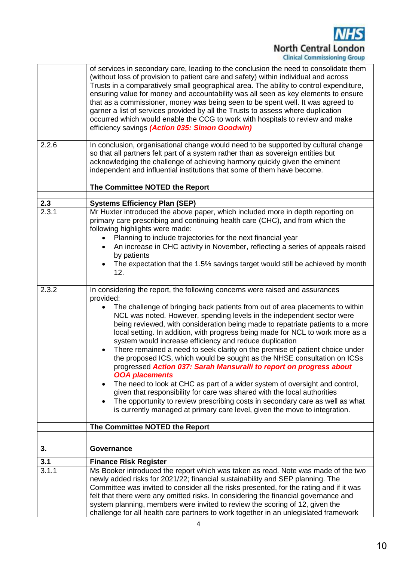

|       | of services in secondary care, leading to the conclusion the need to consolidate them<br>(without loss of provision to patient care and safety) within individual and across<br>Trusts in a comparatively small geographical area. The ability to control expenditure,<br>ensuring value for money and accountability was all seen as key elements to ensure<br>that as a commissioner, money was being seen to be spent well. It was agreed to<br>garner a list of services provided by all the Trusts to assess where duplication<br>occurred which would enable the CCG to work with hospitals to review and make<br>efficiency savings (Action 035: Simon Goodwin)                                                                                                                                                                                                                                                                                                                                                                                                                                           |
|-------|------------------------------------------------------------------------------------------------------------------------------------------------------------------------------------------------------------------------------------------------------------------------------------------------------------------------------------------------------------------------------------------------------------------------------------------------------------------------------------------------------------------------------------------------------------------------------------------------------------------------------------------------------------------------------------------------------------------------------------------------------------------------------------------------------------------------------------------------------------------------------------------------------------------------------------------------------------------------------------------------------------------------------------------------------------------------------------------------------------------|
| 2.2.6 | In conclusion, organisational change would need to be supported by cultural change<br>so that all partners felt part of a system rather than as sovereign entities but<br>acknowledging the challenge of achieving harmony quickly given the eminent<br>independent and influential institutions that some of them have become.                                                                                                                                                                                                                                                                                                                                                                                                                                                                                                                                                                                                                                                                                                                                                                                  |
|       | The Committee NOTED the Report                                                                                                                                                                                                                                                                                                                                                                                                                                                                                                                                                                                                                                                                                                                                                                                                                                                                                                                                                                                                                                                                                   |
| 2.3   | <b>Systems Efficiency Plan (SEP)</b>                                                                                                                                                                                                                                                                                                                                                                                                                                                                                                                                                                                                                                                                                                                                                                                                                                                                                                                                                                                                                                                                             |
| 2.3.1 | Mr Huxter introduced the above paper, which included more in depth reporting on<br>primary care prescribing and continuing health care (CHC), and from which the<br>following highlights were made:<br>Planning to include trajectories for the next financial year<br>An increase in CHC activity in November, reflecting a series of appeals raised<br>by patients<br>The expectation that the 1.5% savings target would still be achieved by month<br>$\bullet$<br>12.                                                                                                                                                                                                                                                                                                                                                                                                                                                                                                                                                                                                                                        |
| 2.3.2 | In considering the report, the following concerns were raised and assurances<br>provided:<br>The challenge of bringing back patients from out of area placements to within<br>NCL was noted. However, spending levels in the independent sector were<br>being reviewed, with consideration being made to repatriate patients to a more<br>local setting. In addition, with progress being made for NCL to work more as a<br>system would increase efficiency and reduce duplication<br>There remained a need to seek clarity on the premise of patient choice under<br>$\bullet$<br>the proposed ICS, which would be sought as the NHSE consultation on ICSs<br>progressed Action 037: Sarah Mansuralli to report on progress about<br><b>OOA placements</b><br>The need to look at CHC as part of a wider system of oversight and control,<br>$\bullet$<br>given that responsibility for care was shared with the local authorities<br>The opportunity to review prescribing costs in secondary care as well as what<br>$\bullet$<br>is currently managed at primary care level, given the move to integration. |
|       | The Committee NOTED the Report                                                                                                                                                                                                                                                                                                                                                                                                                                                                                                                                                                                                                                                                                                                                                                                                                                                                                                                                                                                                                                                                                   |
| 3.    | Governance                                                                                                                                                                                                                                                                                                                                                                                                                                                                                                                                                                                                                                                                                                                                                                                                                                                                                                                                                                                                                                                                                                       |
| 3.1   | <b>Finance Risk Register</b>                                                                                                                                                                                                                                                                                                                                                                                                                                                                                                                                                                                                                                                                                                                                                                                                                                                                                                                                                                                                                                                                                     |
| 3.1.1 | Ms Booker introduced the report which was taken as read. Note was made of the two<br>newly added risks for 2021/22; financial sustainability and SEP planning. The<br>Committee was invited to consider all the risks presented, for the rating and if it was<br>felt that there were any omitted risks. In considering the financial governance and<br>system planning, members were invited to review the scoring of 12, given the<br>challenge for all health care partners to work together in an unlegislated framework                                                                                                                                                                                                                                                                                                                                                                                                                                                                                                                                                                                     |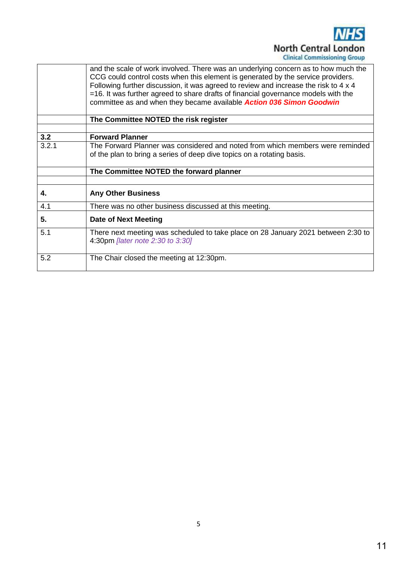

|       | and the scale of work involved. There was an underlying concern as to how much the<br>CCG could control costs when this element is generated by the service providers.<br>Following further discussion, it was agreed to review and increase the risk to 4 x 4 |
|-------|----------------------------------------------------------------------------------------------------------------------------------------------------------------------------------------------------------------------------------------------------------------|
|       | $=$ 16. It was further agreed to share drafts of financial governance models with the<br>committee as and when they became available Action 036 Simon Goodwin                                                                                                  |
|       | The Committee NOTED the risk register                                                                                                                                                                                                                          |
|       |                                                                                                                                                                                                                                                                |
| 3.2   | <b>Forward Planner</b>                                                                                                                                                                                                                                         |
| 3.2.1 | The Forward Planner was considered and noted from which members were reminded                                                                                                                                                                                  |
|       | of the plan to bring a series of deep dive topics on a rotating basis.                                                                                                                                                                                         |
|       | The Committee NOTED the forward planner                                                                                                                                                                                                                        |
|       |                                                                                                                                                                                                                                                                |
| 4.    | <b>Any Other Business</b>                                                                                                                                                                                                                                      |
|       |                                                                                                                                                                                                                                                                |
| 4.1   | There was no other business discussed at this meeting.                                                                                                                                                                                                         |
| 5.    | <b>Date of Next Meeting</b>                                                                                                                                                                                                                                    |
| 5.1   | There next meeting was scheduled to take place on 28 January 2021 between 2:30 to<br>4:30pm [later note 2:30 to 3:30]                                                                                                                                          |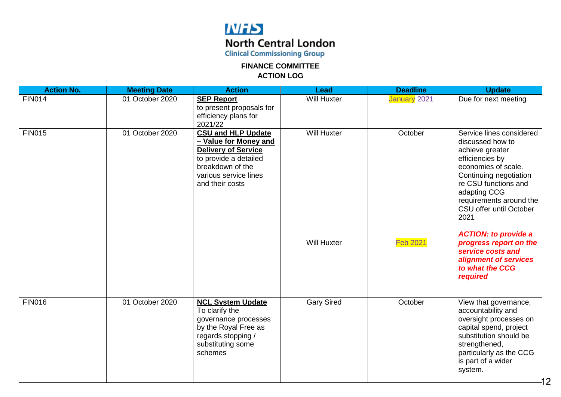### **NFS North Central London**

**Clinical Commissioning Group** 

**FINANCE COMMITTEE ACTION LOG**

| <b>Action No.</b> | <b>Meeting Date</b> | <b>Action</b>                                                                                                                                                             | Lead               | <b>Deadline</b> | <b>Update</b>                                                                                                                                                                                                                             |
|-------------------|---------------------|---------------------------------------------------------------------------------------------------------------------------------------------------------------------------|--------------------|-----------------|-------------------------------------------------------------------------------------------------------------------------------------------------------------------------------------------------------------------------------------------|
| <b>FIN014</b>     | 01 October 2020     | <b>SEP Report</b><br>to present proposals for<br>efficiency plans for<br>2021/22                                                                                          | <b>Will Huxter</b> | January 2021    | Due for next meeting                                                                                                                                                                                                                      |
| <b>FIN015</b>     | 01 October 2020     | <b>CSU and HLP Update</b><br>- Value for Money and<br><b>Delivery of Service</b><br>to provide a detailed<br>breakdown of the<br>various service lines<br>and their costs | <b>Will Huxter</b> | October         | Service lines considered<br>discussed how to<br>achieve greater<br>efficiencies by<br>economies of scale.<br>Continuing negotiation<br>re CSU functions and<br>adapting CCG<br>requirements around the<br>CSU offer until October<br>2021 |
|                   |                     |                                                                                                                                                                           | <b>Will Huxter</b> | <b>Feb 2021</b> | <b>ACTION: to provide a</b><br>progress report on the<br>service costs and<br>alignment of services<br>to what the CCG<br>required                                                                                                        |
| <b>FIN016</b>     | 01 October 2020     | <b>NCL System Update</b><br>To clarify the<br>governance processes<br>by the Royal Free as<br>regards stopping /<br>substituting some<br>schemes                          | <b>Gary Sired</b>  | <b>October</b>  | View that governance,<br>accountability and<br>oversight processes on<br>capital spend, project<br>substitution should be<br>strengthened,<br>particularly as the CCG<br>is part of a wider<br>system.                                    |

12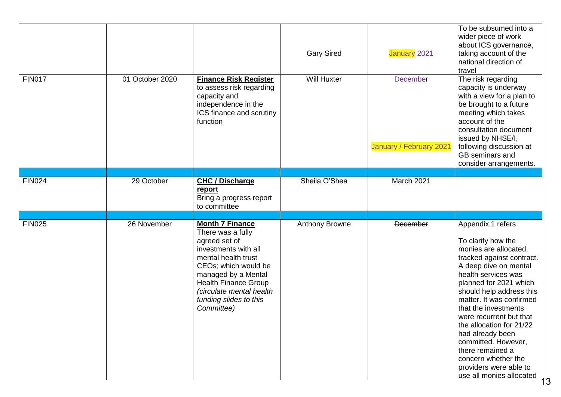|               |                 |                                                                                                                                                                                                                                                               | <b>Gary Sired</b>     | January 2021                               | To be subsumed into a<br>wider piece of work<br>about ICS governance,<br>taking account of the<br>national direction of<br>travel                                                                                                                                                                                                                                                                                                                          |
|---------------|-----------------|---------------------------------------------------------------------------------------------------------------------------------------------------------------------------------------------------------------------------------------------------------------|-----------------------|--------------------------------------------|------------------------------------------------------------------------------------------------------------------------------------------------------------------------------------------------------------------------------------------------------------------------------------------------------------------------------------------------------------------------------------------------------------------------------------------------------------|
| <b>FIN017</b> | 01 October 2020 | <b>Finance Risk Register</b><br>to assess risk regarding<br>capacity and<br>independence in the<br>ICS finance and scrutiny<br>function                                                                                                                       | <b>Will Huxter</b>    | <b>December</b><br>January / February 2021 | The risk regarding<br>capacity is underway<br>with a view for a plan to<br>be brought to a future<br>meeting which takes<br>account of the<br>consultation document<br>issued by NHSE/I,<br>following discussion at<br>GB seminars and<br>consider arrangements.                                                                                                                                                                                           |
|               |                 |                                                                                                                                                                                                                                                               |                       |                                            |                                                                                                                                                                                                                                                                                                                                                                                                                                                            |
| <b>FIN024</b> | 29 October      | <b>CHC / Discharge</b><br>report<br>Bring a progress report<br>to committee                                                                                                                                                                                   | Sheila O'Shea         | March 2021                                 |                                                                                                                                                                                                                                                                                                                                                                                                                                                            |
|               |                 |                                                                                                                                                                                                                                                               |                       |                                            |                                                                                                                                                                                                                                                                                                                                                                                                                                                            |
| <b>FIN025</b> | 26 November     | <b>Month 7 Finance</b><br>There was a fully<br>agreed set of<br>investments with all<br>mental health trust<br>CEOs; which would be<br>managed by a Mental<br><b>Health Finance Group</b><br>(circulate mental health<br>funding slides to this<br>Committee) | <b>Anthony Browne</b> | <b>December</b>                            | Appendix 1 refers<br>To clarify how the<br>monies are allocated,<br>tracked against contract.<br>A deep dive on mental<br>health services was<br>planned for 2021 which<br>should help address this<br>matter. It was confirmed<br>that the investments<br>were recurrent but that<br>the allocation for 21/22<br>had already been<br>committed. However,<br>there remained a<br>concern whether the<br>providers were able to<br>use all monies allocated |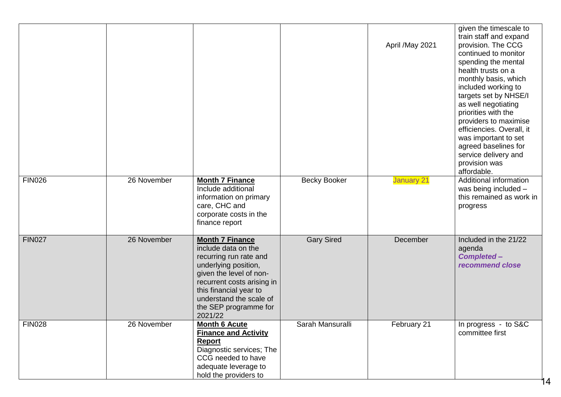| <b>FIN026</b> | 26 November | <b>Month 7 Finance</b>                                                                                                                                                                                                                            | <b>Becky Booker</b> | April / May 2021<br><b>January 21</b> | given the timescale to<br>train staff and expand<br>provision. The CCG<br>continued to monitor<br>spending the mental<br>health trusts on a<br>monthly basis, which<br>included working to<br>targets set by NHSE/I<br>as well negotiating<br>priorities with the<br>providers to maximise<br>efficiencies. Overall, it<br>was important to set<br>agreed baselines for<br>service delivery and<br>provision was<br>affordable.<br>Additional information |
|---------------|-------------|---------------------------------------------------------------------------------------------------------------------------------------------------------------------------------------------------------------------------------------------------|---------------------|---------------------------------------|-----------------------------------------------------------------------------------------------------------------------------------------------------------------------------------------------------------------------------------------------------------------------------------------------------------------------------------------------------------------------------------------------------------------------------------------------------------|
|               |             | Include additional<br>information on primary<br>care, CHC and<br>corporate costs in the<br>finance report                                                                                                                                         |                     |                                       | was being included -<br>this remained as work in<br>progress                                                                                                                                                                                                                                                                                                                                                                                              |
| <b>FIN027</b> | 26 November | <b>Month 7 Finance</b><br>include data on the<br>recurring run rate and<br>underlying position,<br>given the level of non-<br>recurrent costs arising in<br>this financial year to<br>understand the scale of<br>the SEP programme for<br>2021/22 | <b>Gary Sired</b>   | December                              | Included in the 21/22<br>agenda<br><b>Completed-</b><br>recommend close                                                                                                                                                                                                                                                                                                                                                                                   |
| <b>FIN028</b> | 26 November | <b>Month 6 Acute</b><br><b>Finance and Activity</b><br><b>Report</b><br>Diagnostic services; The<br>CCG needed to have<br>adequate leverage to<br>hold the providers to                                                                           | Sarah Mansuralli    | February 21                           | In progress - to S&C<br>committee first                                                                                                                                                                                                                                                                                                                                                                                                                   |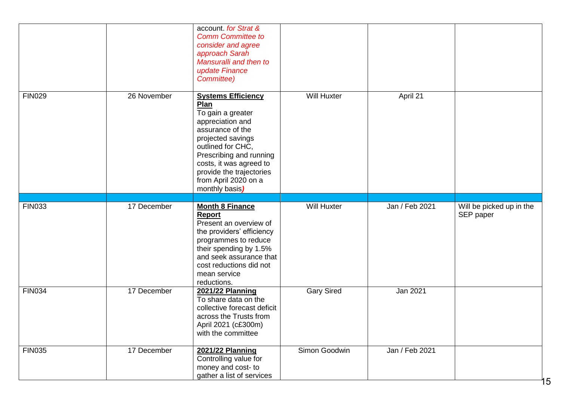|               |             | account for Strat &<br><b>Comm Committee to</b><br>consider and agree<br>approach Sarah<br>Mansuralli and then to<br>update Finance<br>Committee)                                                                                                                    |                    |                |                                       |
|---------------|-------------|----------------------------------------------------------------------------------------------------------------------------------------------------------------------------------------------------------------------------------------------------------------------|--------------------|----------------|---------------------------------------|
| <b>FIN029</b> | 26 November | <b>Systems Efficiency</b><br>Plan<br>To gain a greater<br>appreciation and<br>assurance of the<br>projected savings<br>outlined for CHC,<br>Prescribing and running<br>costs, it was agreed to<br>provide the trajectories<br>from April 2020 on a<br>monthly basis) | <b>Will Huxter</b> | April 21       |                                       |
| <b>FIN033</b> | 17 December | <b>Month 8 Finance</b><br>Report<br>Present an overview of<br>the providers' efficiency<br>programmes to reduce<br>their spending by 1.5%<br>and seek assurance that<br>cost reductions did not<br>mean service<br>reductions.                                       | Will Huxter        | Jan / Feb 2021 | Will be picked up in the<br>SEP paper |
| <b>FIN034</b> | 17 December | 2021/22 Planning<br>To share data on the<br>collective forecast deficit<br>across the Trusts from<br>April 2021 (c£300m)<br>with the committee                                                                                                                       | <b>Gary Sired</b>  | Jan 2021       |                                       |
| <b>FIN035</b> | 17 December | <b>2021/22 Planning</b><br>Controlling value for<br>money and cost- to<br>gather a list of services                                                                                                                                                                  | Simon Goodwin      | Jan / Feb 2021 |                                       |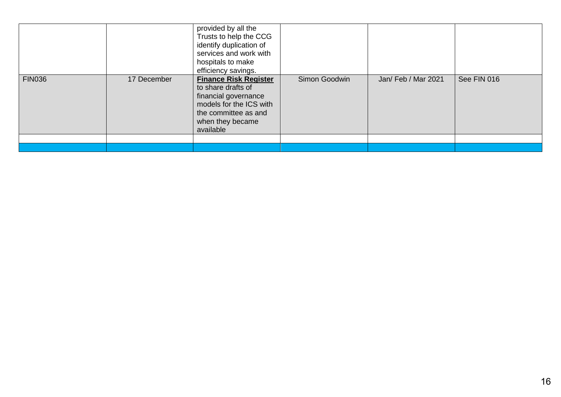|               |             | provided by all the<br>Trusts to help the CCG<br>identify duplication of<br>services and work with<br>hospitals to make<br>efficiency savings.                 |               |                     |             |
|---------------|-------------|----------------------------------------------------------------------------------------------------------------------------------------------------------------|---------------|---------------------|-------------|
| <b>FIN036</b> | 17 December | <b>Finance Risk Register</b><br>to share drafts of<br>financial governance<br>models for the ICS with<br>the committee as and<br>when they became<br>available | Simon Goodwin | Jan/ Feb / Mar 2021 | See FIN 016 |
|               |             |                                                                                                                                                                |               |                     |             |
|               |             |                                                                                                                                                                |               |                     |             |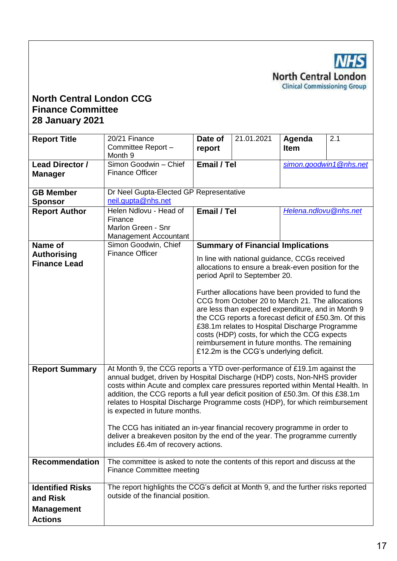**NHS North Central London Clinical Commissioning Group** 

### **North Central London CCG Finance Committee 28 January 2021**

| <b>Report Title</b>                      | 20/21 Finance<br>Committee Report -<br>Month 9                                                                                                                                                                                                                                                                                                                                                                                                                                                                                                                                                                                                   | Date of<br>report                                                                                                                                                                                                                                                                                                                                                                                                   | 21.01.2021                                                                           | Agenda<br><b>Item</b> | 2.1                    |  |  |
|------------------------------------------|--------------------------------------------------------------------------------------------------------------------------------------------------------------------------------------------------------------------------------------------------------------------------------------------------------------------------------------------------------------------------------------------------------------------------------------------------------------------------------------------------------------------------------------------------------------------------------------------------------------------------------------------------|---------------------------------------------------------------------------------------------------------------------------------------------------------------------------------------------------------------------------------------------------------------------------------------------------------------------------------------------------------------------------------------------------------------------|--------------------------------------------------------------------------------------|-----------------------|------------------------|--|--|
| <b>Lead Director /</b><br><b>Manager</b> | Simon Goodwin - Chief<br><b>Finance Officer</b>                                                                                                                                                                                                                                                                                                                                                                                                                                                                                                                                                                                                  | Email / Tel                                                                                                                                                                                                                                                                                                                                                                                                         |                                                                                      |                       | simon.goodwin1@nhs.net |  |  |
| <b>GB Member</b><br><b>Sponsor</b>       | Dr Neel Gupta-Elected GP Representative<br>neil.gupta@nhs.net                                                                                                                                                                                                                                                                                                                                                                                                                                                                                                                                                                                    |                                                                                                                                                                                                                                                                                                                                                                                                                     |                                                                                      |                       |                        |  |  |
| <b>Report Author</b>                     | Helen Ndlovu - Head of<br>Finance<br>Marlon Green - Snr<br>Management Accountant                                                                                                                                                                                                                                                                                                                                                                                                                                                                                                                                                                 | Email / Tel<br>Helena.ndlovu@nhs.net                                                                                                                                                                                                                                                                                                                                                                                |                                                                                      |                       |                        |  |  |
| Name of                                  | Simon Goodwin, Chief                                                                                                                                                                                                                                                                                                                                                                                                                                                                                                                                                                                                                             |                                                                                                                                                                                                                                                                                                                                                                                                                     | <b>Summary of Financial Implications</b>                                             |                       |                        |  |  |
| <b>Authorising</b>                       | <b>Finance Officer</b>                                                                                                                                                                                                                                                                                                                                                                                                                                                                                                                                                                                                                           |                                                                                                                                                                                                                                                                                                                                                                                                                     | In line with national guidance, CCGs received                                        |                       |                        |  |  |
| <b>Finance Lead</b>                      |                                                                                                                                                                                                                                                                                                                                                                                                                                                                                                                                                                                                                                                  |                                                                                                                                                                                                                                                                                                                                                                                                                     | allocations to ensure a break-even position for the<br>period April to September 20. |                       |                        |  |  |
|                                          |                                                                                                                                                                                                                                                                                                                                                                                                                                                                                                                                                                                                                                                  | Further allocations have been provided to fund the<br>CCG from October 20 to March 21. The allocations<br>are less than expected expenditure, and in Month 9<br>the CCG reports a forecast deficit of £50.3m. Of this<br>£38.1m relates to Hospital Discharge Programme<br>costs (HDP) costs, for which the CCG expects<br>reimbursement in future months. The remaining<br>£12.2m is the CCG's underlying deficit. |                                                                                      |                       |                        |  |  |
| <b>Report Summary</b>                    | At Month 9, the CCG reports a YTD over-performance of £19.1m against the<br>annual budget, driven by Hospital Discharge (HDP) costs, Non-NHS provider<br>costs within Acute and complex care pressures reported within Mental Health. In<br>addition, the CCG reports a full year deficit position of £50.3m. Of this £38.1m<br>relates to Hospital Discharge Programme costs (HDP), for which reimbursement<br>is expected in future months.<br>The CCG has initiated an in-year financial recovery programme in order to<br>deliver a breakeven positon by the end of the year. The programme currently<br>includes £6.4m of recovery actions. |                                                                                                                                                                                                                                                                                                                                                                                                                     |                                                                                      |                       |                        |  |  |
| <b>Recommendation</b>                    | The committee is asked to note the contents of this report and discuss at the<br><b>Finance Committee meeting</b>                                                                                                                                                                                                                                                                                                                                                                                                                                                                                                                                |                                                                                                                                                                                                                                                                                                                                                                                                                     |                                                                                      |                       |                        |  |  |
| <b>Identified Risks</b>                  | The report highlights the CCG's deficit at Month 9, and the further risks reported                                                                                                                                                                                                                                                                                                                                                                                                                                                                                                                                                               |                                                                                                                                                                                                                                                                                                                                                                                                                     |                                                                                      |                       |                        |  |  |
| and Risk                                 | outside of the financial position.                                                                                                                                                                                                                                                                                                                                                                                                                                                                                                                                                                                                               |                                                                                                                                                                                                                                                                                                                                                                                                                     |                                                                                      |                       |                        |  |  |
| <b>Management</b>                        |                                                                                                                                                                                                                                                                                                                                                                                                                                                                                                                                                                                                                                                  |                                                                                                                                                                                                                                                                                                                                                                                                                     |                                                                                      |                       |                        |  |  |
| <b>Actions</b>                           |                                                                                                                                                                                                                                                                                                                                                                                                                                                                                                                                                                                                                                                  |                                                                                                                                                                                                                                                                                                                                                                                                                     |                                                                                      |                       |                        |  |  |
|                                          |                                                                                                                                                                                                                                                                                                                                                                                                                                                                                                                                                                                                                                                  |                                                                                                                                                                                                                                                                                                                                                                                                                     |                                                                                      |                       |                        |  |  |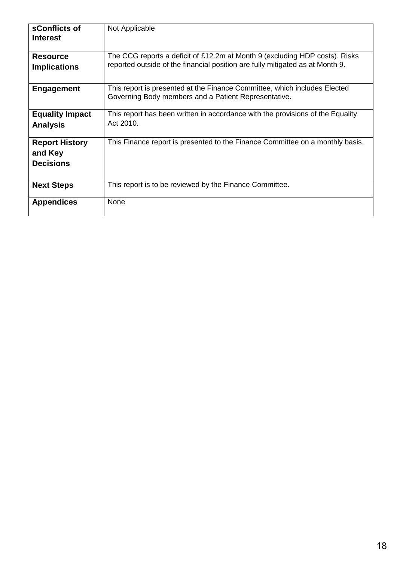| sConflicts of<br><b>Interest</b>                     | Not Applicable                                                                                                                                               |
|------------------------------------------------------|--------------------------------------------------------------------------------------------------------------------------------------------------------------|
| <b>Resource</b><br><b>Implications</b>               | The CCG reports a deficit of £12.2m at Month 9 (excluding HDP costs). Risks<br>reported outside of the financial position are fully mitigated as at Month 9. |
| <b>Engagement</b>                                    | This report is presented at the Finance Committee, which includes Elected<br>Governing Body members and a Patient Representative.                            |
| <b>Equality Impact</b><br><b>Analysis</b>            | This report has been written in accordance with the provisions of the Equality<br>Act 2010.                                                                  |
| <b>Report History</b><br>and Key<br><b>Decisions</b> | This Finance report is presented to the Finance Committee on a monthly basis.                                                                                |
| <b>Next Steps</b>                                    | This report is to be reviewed by the Finance Committee.                                                                                                      |
| <b>Appendices</b>                                    | None                                                                                                                                                         |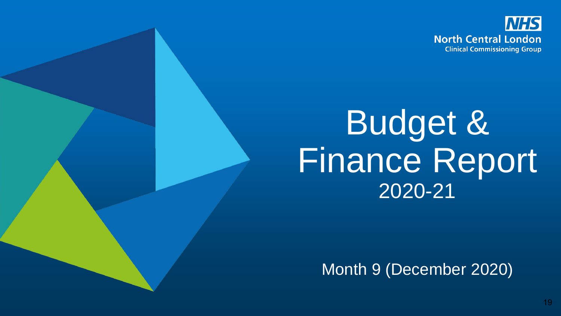

# Budget & Finance Report 2020-21

Month 9 (December 2020)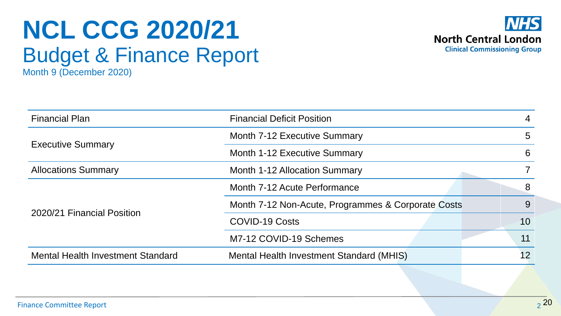## **NCL CCG 2020/21** Budget & Finance Report Month 9 (December 2020)



| <b>Financial Plan</b>                    | <b>Financial Deficit Position</b>                  |    |  |  |  |
|------------------------------------------|----------------------------------------------------|----|--|--|--|
|                                          | <b>Month 7-12 Executive Summary</b>                | 5  |  |  |  |
| <b>Executive Summary</b>                 | Month 1-12 Executive Summary                       | 6  |  |  |  |
| <b>Allocations Summary</b>               | Month 1-12 Allocation Summary                      |    |  |  |  |
|                                          | Month 7-12 Acute Performance                       | 8  |  |  |  |
| 2020/21 Financial Position               | Month 7-12 Non-Acute, Programmes & Corporate Costs | 9  |  |  |  |
|                                          | <b>COVID-19 Costs</b>                              | 10 |  |  |  |
|                                          | M7-12 COVID-19 Schemes                             | 11 |  |  |  |
| <b>Mental Health Investment Standard</b> | Mental Health Investment Standard (MHIS)           | 12 |  |  |  |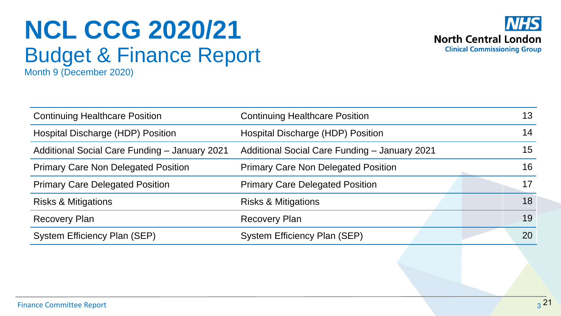## **NCL CCG 2020/21** Budget & Finance Report Month 9 (December 2020)



| <b>Continuing Healthcare Position</b>         | <b>Continuing Healthcare Position</b>         | 13        |
|-----------------------------------------------|-----------------------------------------------|-----------|
| Hospital Discharge (HDP) Position             | Hospital Discharge (HDP) Position             | 14        |
| Additional Social Care Funding - January 2021 | Additional Social Care Funding - January 2021 | 15        |
| <b>Primary Care Non Delegated Position</b>    | <b>Primary Care Non Delegated Position</b>    | 16        |
| <b>Primary Care Delegated Position</b>        | <b>Primary Care Delegated Position</b>        | 17        |
| <b>Risks &amp; Mitigations</b>                | <b>Risks &amp; Mitigations</b>                | 18        |
| <b>Recovery Plan</b>                          | <b>Recovery Plan</b>                          | 19        |
| System Efficiency Plan (SEP)                  | <b>System Efficiency Plan (SEP)</b>           | <b>20</b> |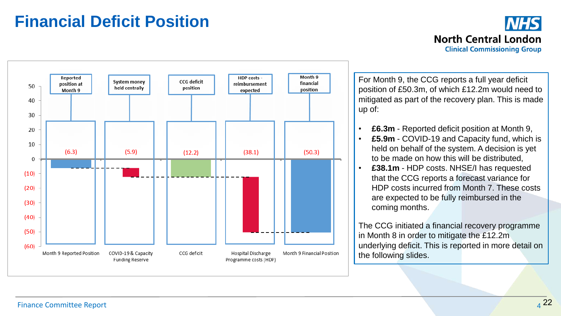## **Financial Deficit Position**



**North Central London Clinical Commissioning Group** 

**NHS** 

For Month 9, the CCG reports a full year deficit position of £50.3m, of which £12.2m would need to mitigated as part of the recovery plan. This is made

- **£6.3m** Reported deficit position at Month 9,
- **£5.9m** COVID-19 and Capacity fund, which is held on behalf of the system. A decision is yet to be made on how this will be distributed,
- **£38.1m** HDP costs. NHSE/I has requested that the CCG reports a forecast variance for HDP costs incurred from Month 7. These costs are expected to be fully reimbursed in the coming months.

The CCG initiated a financial recovery programme in Month 8 in order to mitigate the £12.2m underlying deficit. This is reported in more detail on the following slides.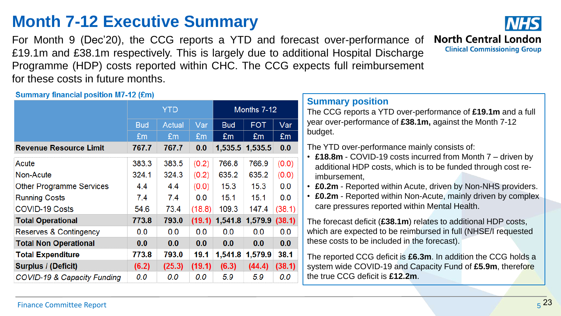## **Month 7-12 Executive Summary**

For Month 9 (Dec'20), the CCG reports a YTD and forecast over-performance of £19.1m and £38.1m respectively. This is largely due to additional Hospital Discharge Programme (HDP) costs reported within CHC. The CCG expects full reimbursement for these costs in future months.



Summary financial nosition M7-12 (fm)

| <b>UGHIMALY INTERIOR PUBLICATE INTERVALLY</b> |            |        |                |                                 | <b>Summary position</b> |        |                                                                                                                             |  |
|-----------------------------------------------|------------|--------|----------------|---------------------------------|-------------------------|--------|-----------------------------------------------------------------------------------------------------------------------------|--|
|                                               | <b>YTD</b> |        |                | Months 7-12                     |                         |        | The CCG reports a YTD over-performance of £19.1m and a full                                                                 |  |
|                                               | <b>Bud</b> | Actual | Var            | <b>Bud</b>                      | <b>FOT</b>              | Var    | year over-performance of £38.1m, against the Month 7-12                                                                     |  |
|                                               | Em         | Em     | E <sub>m</sub> | £m                              | £m                      | Em     | budget.                                                                                                                     |  |
| <b>Revenue Resource Limit</b>                 | 767.7      | 767.7  | 0.0            |                                 | 1,535.5 1,535.5         | 0.0    | The YTD over-performance mainly consists of:                                                                                |  |
| Acute                                         | 383.3      | 383.5  | (0.2)          | 766.8                           | 766.9                   | (0.0)  | • £18.8m - COVID-19 costs incurred from Month 7 – driven by<br>additional HDP costs, which is to be funded through cost re- |  |
| Non-Acute                                     | 324.1      | 324.3  | (0.2)          | 635.2                           | 635.2                   | (0.0)  | imbursement.                                                                                                                |  |
| Other Programme Services                      | 4.4        | 4.4    | (0.0)          | 15.3                            | 15.3                    | 0.0    | £0.2m - Reported within Acute, driven by Non-NHS providers.                                                                 |  |
| <b>Running Costs</b>                          | 7.4        | 7.4    | 0.0            | 15.1                            | 15.1                    | 0.0    | £0.2m - Reported within Non-Acute, mainly driven by complex                                                                 |  |
| <b>COVID-19 Costs</b>                         | 54.6       | 73.4   | (18.8)         | 109.3                           | 147.4                   | (38.1) | care pressures reported within Mental Health.                                                                               |  |
| <b>Total Operational</b>                      | 773.8      | 793.0  |                | $(19.1)$ 1,541.8 1,579.9 (38.1) |                         |        | The forecast deficit (£38.1m) relates to additional HDP costs,                                                              |  |
| Reserves & Contingency                        | 0.0        | 0.0    | 0.0            | 0.0                             | 0.0                     | 0.0    | which are expected to be reimbursed in full (NHSE/I requested                                                               |  |
| <b>Total Non Operational</b>                  | 0.0        | 0.0    | 0.0            | 0.0                             | 0.0                     | 0.0    | these costs to be included in the forecast).                                                                                |  |
| <b>Total Expenditure</b>                      | 773.8      | 793.0  | 19.1           | 1,541.8                         | 1,579.9                 | 38.1   | The reported CCG deficit is £6.3m. In addition the CCG holds a                                                              |  |
| <b>Surplus / (Deficit)</b>                    | (6.2)      | (25.3) | (19.1)         | (6.3)                           | (44.4)                  | (38.1) | system wide COVID-19 and Capacity Fund of £5.9m, therefore                                                                  |  |
| COVID-19 & Capacity Funding                   | 0.0        | 0.0    | 0.0            | 5.9                             | 5.9                     | 0.0    | the true CCG deficit is £12.2m.                                                                                             |  |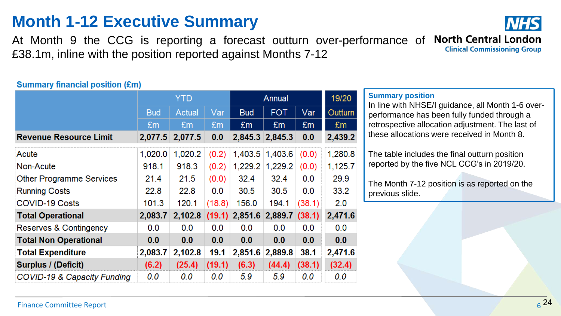## **Month 1-12 Executive Summary**

At Month 9 the CCG is reporting a forecast outturn over-performance of North Central London **Clinical Commissioning Group** £38.1m, inline with the position reported against Months 7-12

### **Summary financial position (£m)**

|            | <b>YTD</b> |         |            | Annual                     |                            |         |  |
|------------|------------|---------|------------|----------------------------|----------------------------|---------|--|
| <b>Bud</b> | Actual     | Var     | <b>Bud</b> | <b>FOT</b>                 | Var                        | Outturn |  |
| £m         | £m         | £m      | £m         | £m                         | £m                         | £m      |  |
|            | 2,077.5    | 0.0     |            |                            | 0.0                        | 2,439.2 |  |
| 1,020.0    | 1,020.2    | (0.2)   |            | 1,403.6                    | (0.0)                      | 1,280.8 |  |
| 918.1      | 918.3      | (0.2)   | 1,229.2    | 1,229.2                    | (0.0)                      | 1,125.7 |  |
| 21.4       | 21.5       | (0.0)   | 32.4       | 32.4                       | 0.0                        | 29.9    |  |
| 22.8       | 22.8       | 0.0     | 30.5       | 30.5                       | 0.0                        | 33.2    |  |
| 101.3      | 120.1      | (18.8)  | 156.0      | 194.1                      | (38.1)                     | 2.0     |  |
| 2,083.7    | 2,102.8    |         |            |                            | (38.1)                     | 2,471.6 |  |
| 0.0        | 0.0        | 0.0     | 0.0        | 0.0                        | 0.0                        | 0.0     |  |
| 0.0        | 0.0        | 0.0     | 0.0        | 0.0                        | 0.0                        | 0.0     |  |
| 2,083.7    | 2,102.8    | 19.1    | 2,851.6    | 2,889.8                    | 38.1                       | 2,471.6 |  |
| (6.2)      | (25.4)     |         | (6.3)      | (44.4)                     | (38.1)                     | (32.4)  |  |
| 0.0        | 0.0        | 0.0     | 5.9        | 5.9                        | 0.0                        | 0.0     |  |
|            |            | 2,077.5 |            | $(19.1)$ 2,851.6<br>(19.1) | 2,845.3 2,845.3<br>1,403.5 | 2,889.7 |  |

### **Summary position**

In line with NHSE/I guidance, all Month 1-6 overperformance has been fully funded through a retrospective allocation adjustment. The last of these allocations were received in Month 8.

The table includes the final outturn position reported by the five NCL CCG's in 2019/20.

The Month 7-12 position is as reported on the previous slide.

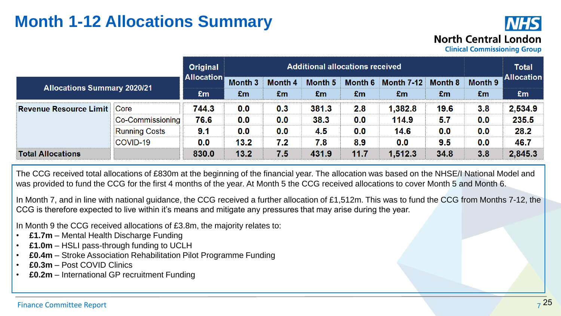## **Month 1-12 Allocations Summary**



**Clinical Commissioning Group** 

|                                          |                      | <b>Original</b>   | <b>Additional allocations received</b> |               |               |               |                         |               |               | <b>Total</b>            |
|------------------------------------------|----------------------|-------------------|----------------------------------------|---------------|---------------|---------------|-------------------------|---------------|---------------|-------------------------|
| <b>Allocations Summary 2020/21</b><br>£m |                      | <b>Allocation</b> | Month 3<br>£m                          | Month 4<br>£m | Month 5<br>£m | Month 6<br>£m | <b>Month 7-12</b><br>£m | Month 8<br>£m | Month 9<br>Em | <b>Allocation</b><br>£m |
| <b>Revenue Resource Limit</b>            | Core                 | 744.3             | 0.0                                    | 0.3           | 381.3         | 2.8           | 1,382.8                 | 19.6          | 3.8           | 2,534.9                 |
|                                          | Co-Commissioning     | 76.6              | 0.0                                    | 0.0           | 38.3          | 0.0           | 114.9                   | 5.7           | 0.0           | 235.5                   |
|                                          | <b>Running Costs</b> | 9.1               | 0.0                                    | 0.0           | 4.5           | 0.0           | 14.6                    | 0.0           | 0.0           | 28.2                    |
|                                          | COVID-19             | 0.0               | 13.2                                   | 7.2           | 7.8           | 8.9           | 0.0                     | 9.5           | 0.0           | 46.7                    |
| <b>Total Allocations</b>                 |                      | 830.0             | 13.2                                   | 7.5           | 431.9         | 11.7          | 1,512.3                 | 34.8          | 3.8           | 2,845.3                 |

The CCG received total allocations of £830m at the beginning of the financial year. The allocation was based on the NHSE/I National Model and was provided to fund the CCG for the first 4 months of the year. At Month 5 the CCG received allocations to cover Month 5 and Month 6.

In Month 7, and in line with national guidance, the CCG received a further allocation of £1,512m. This was to fund the CCG from Months 7-12, the CCG is therefore expected to live within it's means and mitigate any pressures that may arise during the year.

In Month 9 the CCG received allocations of £3.8m, the majority relates to:

- **£1.7m** Mental Health Discharge Funding
- **£1.0m** HSLI pass-through funding to UCLH
- **£0.4m** Stroke Association Rehabilitation Pilot Programme Funding
- **£0.3m** Post COVID Clinics
- **£0.2m**  International GP recruitment Funding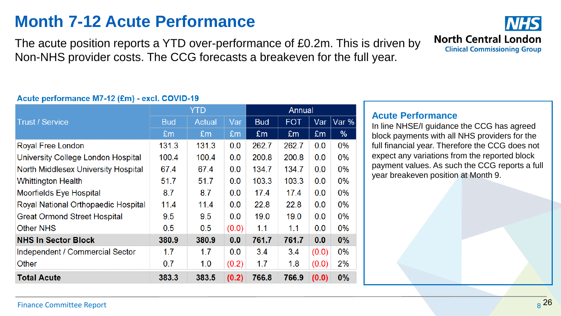## **Month 7-12 Acute Performance**

The acute position reports a YTD over-performance of £0.2m. This is driven by Non-NHS provider costs. The CCG forecasts a breakeven for the full year.

### Acute performance M7-12 (£m) - excl. COVID-19

|                                            |                | YTD    |                | Annual         |                |       |       |  |
|--------------------------------------------|----------------|--------|----------------|----------------|----------------|-------|-------|--|
| <b>Trust / Service</b>                     | <b>Bud</b>     | Actual | Var            | <b>Bud</b>     | <b>FOT</b>     | Var   | Var % |  |
|                                            | E <sub>m</sub> | £m     | E <sub>m</sub> | E <sub>m</sub> | E <sub>m</sub> | £m    | %     |  |
| Royal Free London                          | 131.3          | 131.3  | 0.0            | 262.7          | 262.7          | 0.0   | $0\%$ |  |
| University College London Hospital         | 100.4          | 100.4  | 0.0            | 200.8          | 200.8          | 0.0   | $0\%$ |  |
| <b>North Middlesex University Hospital</b> | 67.4           | 67.4   | 0.0            | 134.7          | 134.7          | 0.0   | $0\%$ |  |
| <b>Whittington Health</b>                  | 51.7           | 51.7   | 0.0            | 103.3          | 103.3          | 0.0   | 0%    |  |
| <b>Moorfields Eye Hospital</b>             | 8.7            | 8.7    | 0.0            | 17.4           | 17.4           | 0.0   | $0\%$ |  |
| Royal National Orthopaedic Hospital        | 11.4           | 11.4   | 0.0            | 22.8           | 22.8           | 0.0   | $0\%$ |  |
| <b>Great Ormond Street Hospital</b>        | 9.5            | 9.5    | 0.0            | 19.0           | 19.0           | 0.0   | $0\%$ |  |
| <b>Other NHS</b>                           | 0.5            | 0.5    | (0.0)          | 1.1            | 1.1            | 0.0   | $0\%$ |  |
| <b>NHS In Sector Block</b>                 | 380.9          | 380.9  | 0.0            | 761.7          | 761.7          | 0.0   | $0\%$ |  |
| Independent / Commercial Sector            | 1.7            | 1.7    | 0.0            | 3.4            | 3.4            | (0.0) | 0%    |  |
| Other                                      | 0.7            | 1.0    | (0.2)          | 1.7            | 1.8            | (0.0) | 2%    |  |
| <b>Total Acute</b>                         | 383.3          | 383.5  | (0.2)          | 766.8          | 766.9          | (0.0) | 0%    |  |

## **North Central London Clinical Commissioning Group**

### **Acute Performance**

In line NHSE/I guidance the CCG has agreed block payments with all NHS providers for the full financial year. Therefore the CCG does not expect any variations from the reported block payment values. As such the CCG reports a full year breakeven position at Month 9.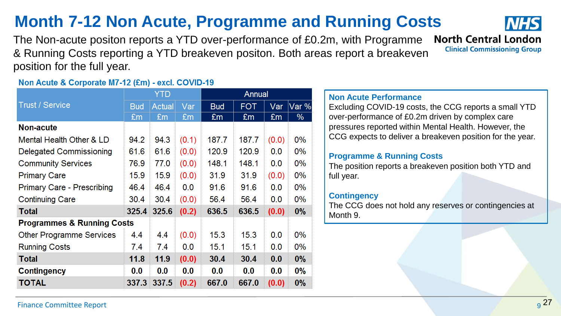### **Finance Committee Report** 9<sup>27</sup>

|  |  |  | <b>Month 7-12 Non Acute, Programme and Running Costs</b> |  |
|--|--|--|----------------------------------------------------------|--|
|  |  |  |                                                          |  |

The Non-acute positon reports a YTD over-performance of £0.2m, with Programme & Running Costs reporting a YTD breakeven positon. Both areas report a breakeven position for the full year.

### Non Acute & Corporate M7-12 (£m) - excl. COVID-19

|                                       |            | <b>YTD</b>    |       | Annual     |            |       |       |  |  |
|---------------------------------------|------------|---------------|-------|------------|------------|-------|-------|--|--|
| <b>Trust / Service</b>                | <b>Bud</b> | <b>Actual</b> | Var   | <b>Bud</b> | <b>FOT</b> | Var   | Var % |  |  |
|                                       | £m         | £m            | £m    | £m         | £m         | £m    | %     |  |  |
| <b>Non-acute</b>                      |            |               |       |            |            |       |       |  |  |
| Mental Health Other & LD              | 94.2       | 94.3          | (0.1) | 187.7      | 187.7      | (0.0) | $0\%$ |  |  |
| Delegated Commissioning               | 61.6       | 61.6          | (0.0) | 120.9      | 120.9      | 0.0   | $0\%$ |  |  |
| <b>Community Services</b>             | 76.9       | 77.0          | (0.0) | 148.1      | 148.1      | 0.0   | $0\%$ |  |  |
| <b>Primary Care</b>                   | 15.9       | 15.9          | (0.0) | 31.9       | 31.9       | (0.0) | $0\%$ |  |  |
| <b>Primary Care - Prescribing</b>     | 46.4       | 46.4          | 0.0   | 91.6       | 91.6       | 0.0   | $0\%$ |  |  |
| <b>Continuing Care</b>                | 30.4       | 30.4          | (0.0) | 56.4       | 56.4       | 0.0   | $0\%$ |  |  |
| <b>Total</b>                          |            | 325.4 325.6   | (0.2) | 636.5      | 636.5      | (0.0) | $0\%$ |  |  |
| <b>Programmes &amp; Running Costs</b> |            |               |       |            |            |       |       |  |  |
| <b>Other Programme Services</b>       | 4.4        | 4.4           | (0.0) | 15.3       | 15.3       | 0.0   | $0\%$ |  |  |
| <b>Running Costs</b>                  | 7.4        | 7.4           | 0.0   | 15.1       | 15.1       | 0.0   | $0\%$ |  |  |
| <b>Total</b>                          | 11.8       | 11.9          | (0.0) | 30.4       | 30.4       | 0.0   | $0\%$ |  |  |
| <b>Contingency</b>                    | 0.0        | 0.0           | 0.0   | 0.0        | 0.0        | 0.0   | $0\%$ |  |  |
| TOTAL                                 | 337.3      | 337.5         | (0.2) | 667.0      | 667.0      | (0.0) | 0%    |  |  |

### **Non Acute Performance**

Excluding COVID-19 costs, the CCG reports a small YTD over-performance of £0.2m driven by complex care pressures reported within Mental Health. However, the CCG expects to deliver a breakeven position for the year.

### **Programme & Running Costs**

The position reports a breakeven position both YTD and full year.

### **Contingency**

The CCG does not hold any reserves or contingencies at Month 9.



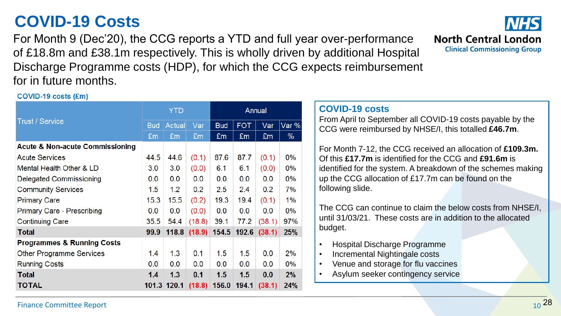## **COVID-19 Costs**

For Month 9 (Dec'20), the CCG reports a YTD and full year over-performance of £18.8m and £38.1m respectively. This is wholly driven by additional Hospital Discharge Programme costs (HDP), for which the CCG expects reimbursement for in future months.



### COVID-19 costs (£m)

|                                            |            | <b>YTD</b> |                                   | Annual     |            |        |       |  |
|--------------------------------------------|------------|------------|-----------------------------------|------------|------------|--------|-------|--|
| <b>Trust / Service</b>                     | <b>Bud</b> | Actual     | Var                               | <b>Bud</b> | <b>FOT</b> | Var    | Var % |  |
|                                            | £m         | £m         | £m                                | £m         | £m         | £m     | %     |  |
| <b>Acute &amp; Non-acute Commissioning</b> |            |            |                                   |            |            |        |       |  |
| <b>Acute Services</b>                      | 44.5       | 44.6       | (0.1)                             | 87.6       | 87.7       | (0.1)  | $0\%$ |  |
| Mental Health Other & LD                   | 3.0        | 3.0        | (0.0)                             | 6.1        | 6.1        | (0.0)  | $0\%$ |  |
| Delegated Commissioning                    | 0.0        | 0.0        | 0.0                               | 0.0        | 0.0        | 0.0    | $0\%$ |  |
| <b>Community Services</b>                  | 1.5        | 1.2        | 0.2                               | 2.5        | 2.4        | 0.2    | 7%    |  |
| <b>Primary Care</b>                        | 15.3       | 15.5       | (0.2)                             | 19.3       | 19.4       | (0.1)  | 1%    |  |
| <b>Primary Care - Prescribing</b>          | 0.0        | 0.0        | (0.0)                             | 0.0        | 0.0        | 0.0    | $0\%$ |  |
| <b>Continuing Care</b>                     | 35.5       | 54.4       | (18.8)                            | 39.1       | 77.2       | (38.1) | 97%   |  |
| <b>Total</b>                               | 99.9       |            | $118.8$ (18.9) 154.5 192.6 (38.1) |            |            |        | 25%   |  |
| <b>Programmes &amp; Running Costs</b>      |            |            |                                   |            |            |        |       |  |
| <b>Other Programme Services</b>            | 1.4        | 1.3        | 0.1                               | 1.5        | 1.5        | 0.0    | 2%    |  |
| <b>Running Costs</b>                       | 0.0        | 0.0        | 0.0                               | 0.0        | 0.0        | 0.0    | $0\%$ |  |
| <b>Total</b>                               | 1.4        | 1.3        | 0.1                               | 1.5        | 1.5        | 0.0    | 2%    |  |
| TOTAL                                      |            |            | 101.3 120.1 (18.8) 156.0 194.1    |            |            | (38.1) | 24%   |  |

### **COVID-19 costs**

From April to September all COVID-19 costs payable by the CCG were reimbursed by NHSE/I, this totalled **£46.7m**.

For Month 7-12, the CCG received an allocation of **£109.3m.**  Of this **£17.7m** is identified for the CCG and **£91.6m** is identified for the system. A breakdown of the schemes making up the CCG allocation of £17.7m can be found on the following slide.

The CCG can continue to claim the below costs from NHSE/I, until 31/03/21. These costs are in addition to the allocated budget.

- Hospital Discharge Programme
- Incremental Nightingale costs
- Venue and storage for flu vaccines
- Asylum seeker contingency service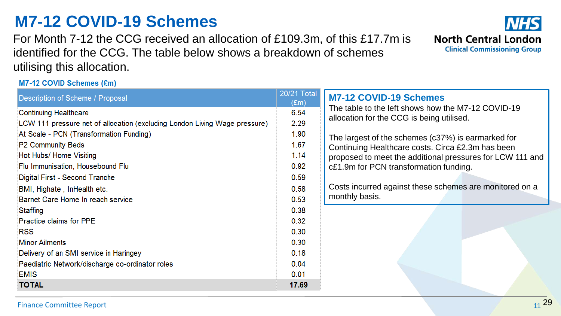## **M7-12 COVID-19 Schemes**

For Month 7-12 the CCG received an allocation of £109.3m, of this £17.7m is identified for the CCG. The table below shows a breakdown of schemes utilising this allocation.

M7-12 COVID Schemes (£m)

| Description of Scheme / Proposal                                           | 20/21 Total<br>$(\text{Em})$ | <b>M7-12 COVID-19 Schemes</b>                                                                   |
|----------------------------------------------------------------------------|------------------------------|-------------------------------------------------------------------------------------------------|
| <b>Continuing Healthcare</b>                                               | 6.54                         | The table to the left shows how the M7-12 COVID-19<br>allocation for the CCG is being utilised. |
| LCW 111 pressure net of allocation (excluding London Living Wage pressure) | 2.29                         |                                                                                                 |
| At Scale - PCN (Transformation Funding)                                    | 1.90                         | The largest of the schemes (c37%) is earmarked for                                              |
| P2 Community Beds                                                          | 1.67                         | Continuing Healthcare costs. Circa £2.3m has been                                               |
| Hot Hubs/ Home Visiting                                                    | 1.14                         | proposed to meet the additional pressures for LCW 111 and                                       |
| Flu Immunisation, Housebound Flu                                           | 0.92                         | c£1.9m for PCN transformation funding.                                                          |
| Digital First - Second Tranche                                             | 0.59                         |                                                                                                 |
| BMI, Highate, InHealth etc.                                                | 0.58                         | Costs incurred against these schemes are monitored on a                                         |
| Barnet Care Home In reach service                                          | 0.53                         | monthly basis.                                                                                  |
| <b>Staffing</b>                                                            | 0.38                         |                                                                                                 |
| Practice claims for PPE                                                    | 0.32                         |                                                                                                 |
| <b>RSS</b>                                                                 | 0.30                         |                                                                                                 |
| <b>Minor Ailments</b>                                                      | 0.30                         |                                                                                                 |
| Delivery of an SMI service in Haringey                                     | 0.18                         |                                                                                                 |
| Paediatric Network/discharge co-ordinator roles                            | 0.04                         |                                                                                                 |
| <b>EMIS</b>                                                                | 0.01                         |                                                                                                 |
| <b>TOTAL</b>                                                               | 17.69                        |                                                                                                 |

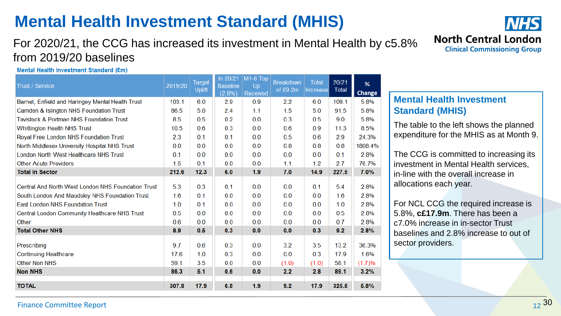## **Mental Health Investment Standard (MHIS)**

### For 2020/21, the CCG has increased its investment in Mental Health by c5.8% from 2019/20 baselines

Mental Health Investment Standard (£m)

| Trust / Service                                                                                                                                                                                                | 2019/20                  | <b>Target</b><br><b>Uplift</b> | In 20/21<br><b>Baseline</b><br>$(2.8\%)$ | $M1-6$ Top<br>Up<br>Received | <b>Breakdown</b><br>of £9.2m | <b>Total</b><br><b>Increase</b> | 20/21<br><b>Total</b>    | %<br>Change                  |
|----------------------------------------------------------------------------------------------------------------------------------------------------------------------------------------------------------------|--------------------------|--------------------------------|------------------------------------------|------------------------------|------------------------------|---------------------------------|--------------------------|------------------------------|
| Barnet, Enfield and Haringey Mental Health Trust                                                                                                                                                               | 103.1                    | 6.0                            | 2.9                                      | 0.9                          | 2.2                          | 6.0                             | 109.1                    | 5.8%                         |
| Camden & Islington NHS Foundation Trust                                                                                                                                                                        | 86.5                     | 5.0                            | 2.4                                      | 1.1                          | 1.5                          | 5.0                             | 91.5                     | 5.8%                         |
| <b>Tavistock &amp; Portman NHS Foundation Trust</b>                                                                                                                                                            | 8.5                      | 0.5                            | 0.2                                      | 0.0                          | 0.3                          | 0.5                             | 9.0                      | 5.8%                         |
| <b>Whittington Health NHS Trust</b>                                                                                                                                                                            | 10.5                     | 0.6                            | 0.3                                      | 0.0                          | 0.6                          | 0.9                             | 11.3                     | 8.5%                         |
| Royal Free London NHS Foundation Trust                                                                                                                                                                         | 2.3                      | 0.1                            | 0.1                                      | 0.0                          | 0.5                          | 0.6                             | 2.9                      | 24.3%                        |
| North Middlesex University Hospital NHS Trust                                                                                                                                                                  | 0.0                      | 0.0                            | 0.0                                      | 0.0                          | 0.8                          | 0.8                             | 0.8                      | 1808.4%                      |
| London North West Healthcare NHS Trust                                                                                                                                                                         | 0.1                      | 0.0                            | 0.0                                      | 0.0                          | 0.0                          | 0.0                             | 0.1                      | 2.8%                         |
| <b>Other Acute Providers</b>                                                                                                                                                                                   | 1.5                      | 0.1                            | 0.0                                      | 0.0                          | 1.1                          | 1.2                             | 2.7                      | 76.7%                        |
| <b>Total In Sector</b>                                                                                                                                                                                         | 212.6                    | 12.3                           | 6.0                                      | 1.9                          | 7.0                          | 14.9                            | 227.5                    | 7.0%                         |
| <b>Central And North West London NHS Foundation Trust</b><br>South London And Maudsley NHS Foundation Trust<br><b>East London NHS Foundation Trust</b><br><b>Central London Community Healthcare NHS Trust</b> | 5.3<br>1.6<br>1.0<br>0.5 | 0.3<br>0.1<br>0.1<br>0.0       | 0.1<br>0.0<br>0.0<br>0.0                 | 0.0<br>0.0<br>0.0<br>0.0     | 0.0<br>0.0<br>0.0<br>0.0     | 0.1<br>0.0<br>0.0<br>0.0        | 5.4<br>1.6<br>1.0<br>0.5 | 2.8%<br>2.8%<br>2.8%<br>2.8% |
| Other<br><b>Total Other NHS</b>                                                                                                                                                                                | 0.6<br>8.9               | 0.0<br>0.5                     | 0.0<br>0.3                               | 0.0<br>0.0                   | 0.0<br>0.0                   | 0.0<br>0.3                      | 0.7<br>9.2               | 2.8%<br>2.8%                 |
|                                                                                                                                                                                                                |                          |                                |                                          |                              |                              |                                 |                          |                              |
| Prescribing                                                                                                                                                                                                    | 9.7                      | 0.6                            | 0.3                                      | 0.0                          | 3.2                          | 3.5                             | 13.2                     | 36.3%                        |
| <b>Continuing Healthcare</b>                                                                                                                                                                                   | 17.6                     | 1.0                            | 0.3                                      | 0.0                          | 0.0                          | 0.3                             | 17.9                     | 1.6%                         |
| <b>Other Non NHS</b>                                                                                                                                                                                           | 59.1                     | 3.5                            | 0.0                                      | 0.0                          | (1.0)                        | (1.0)                           | 58.1                     | (1.7)%                       |
| <b>Non NHS</b>                                                                                                                                                                                                 | 86.3                     | 5.1                            | 0.6                                      | 0.0                          | 2.2                          | 2.8                             | 89.1                     | 3.2%                         |
| <b>TOTAL</b>                                                                                                                                                                                                   | 307.8                    | 17.9                           | 6.8                                      | 1.9                          | 9.2                          | 17.9                            | 325.8                    | 5.8%                         |

**NHS North Central London Clinical Commissioning Group** 

### **Mental Health Investment Standard (MHIS)**

The table to the left shows the planned expenditure for the MHIS as at Month 9.

The CCG is committed to increasing its investment in Mental Health services, in-line with the overall increase in allocations each year.

For NCL CCG the required increase is 5.8%, **c£17.9m**. There has been a c7.0% increase in in-sector Trust baselines and 2.8% increase to out of sector providers.

### **Finance Committee Report** 2 and 2 and 2 and 2 and 2 and 2 and 30 and 30 and 30 and 30 and 30 and 30 and 30 and 30 and 30 and 30 and 30 and 30 and 30 and 30 and 3 and 3 and 3 and 3 and 3 and 3 and 3 and 3 and 3 and 3 and 3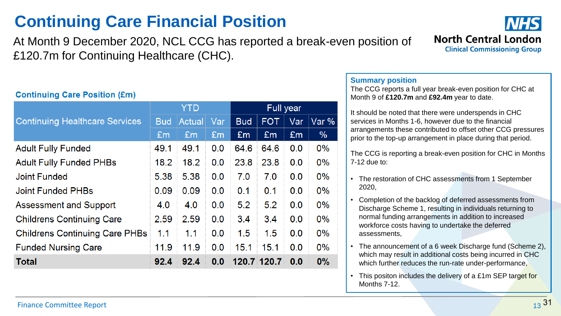## **Continuing Care Financial Position**

At Month 9 December 2020, NCL CCG has reported a break-even position of £120.7m for Continuing Healthcare (CHC).

### **Continuing Care Position (£m)**

|                                       |            | <b>YTD</b>    |     | <b>Full year</b> |            |     |       |  |
|---------------------------------------|------------|---------------|-----|------------------|------------|-----|-------|--|
| <b>Continuing Healthcare Services</b> | <b>Bud</b> | <b>Actual</b> | Var | <b>Bud</b>       | <b>FOT</b> | Var | Var % |  |
|                                       | Em         | Em            | Em  | £m               | Em         | Em  | $\%$  |  |
| <b>Adult Fully Funded</b>             | 49.1       | 49.1          | 0.0 | 64.6             | 64.6       | 0.0 | $0\%$ |  |
| <b>Adult Fully Funded PHBs</b>        | 18.2       | 18.2          | 0.0 | 23.8             | 23.8       | 0.0 | $0\%$ |  |
| <b>Joint Funded</b>                   | 5.38       | 5.38          | 0.0 | 7.0              | 7.0        | 0.0 | $0\%$ |  |
| Joint Funded PHBs                     | 0.09       | 0.09          | 0.0 | 0.1              | 0.1        | 0.0 | $0\%$ |  |
| <b>Assessment and Support</b>         | 4.0        | 4.0           | 0.0 | 5.2              | 5.2        | 0.0 | $0\%$ |  |
| <b>Childrens Continuing Care</b>      | 2.59       | 2.59          | 0.0 | 3.4              | 3.4        | 0.0 | 0%    |  |
| <b>Childrens Continuing Care PHBs</b> | 1.1        | 1.1           | 0.0 | 1.5              | 1.5        | 0.0 | $0\%$ |  |
| <b>Funded Nursing Care</b>            | 11.9       | 11.9          | 0.0 | 15.1             | 15.1       | 0.0 | $0\%$ |  |
| <b>Total</b>                          | 92.4       | 92.4          | 0.0 | 120.7 120.7      |            | 0.0 | $0\%$ |  |

### **Summary position**

The CCG reports a full year break-even position for CHC at Month 9 of **£120.7m** and **£92.4m** year to date.

It should be noted that there were underspends in CHC services in Months 1-6, however due to the financial arrangements these contributed to offset other CCG pressures prior to the top-up arrangement in place during that period.

The CCG is reporting a break-even position for CHC in Months 7-12 due to:

- The restoration of CHC assessments from 1 September 2020,
- Completion of the backlog of deferred assessments from Discharge Scheme 1, resulting in individuals returning to normal funding arrangements in addition to increased workforce costs having to undertake the deferred assessments,
- The announcement of a 6 week Discharge fund (Scheme 2), which may result in additional costs being incurred in CHC which further reduces the run-rate under-performance,
- This positon includes the delivery of a £1m SEP target for Months 7-12.

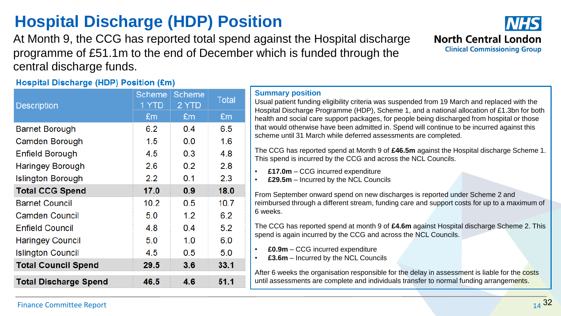**Description** 

**Barnet Borough** 

Camden Borough

**Enfield Borough** 

| <b>Haringey Borough</b>    | 2.6  | 0.2 | 2.8  |
|----------------------------|------|-----|------|
| <b>Islington Borough</b>   | 2.2  | 0.1 | 2.3  |
| <b>Total CCG Spend</b>     | 17.0 | 0.9 | 18.0 |
| <b>Barnet Council</b>      | 10.2 | 0.5 | 10.7 |
| <b>Camden Council</b>      | 5.0  | 1.2 | 6.2  |
| <b>Enfield Council</b>     | 4.8  | 0.4 | 5.2  |
| <b>Haringey Council</b>    | 5.0  | 1.0 | 6.0  |
| <b>Islington Council</b>   | 4.5  | 0.5 | 5.0  |
| <b>Total Council Spend</b> | 29.5 | 3.6 | 33.1 |
|                            |      |     |      |

### **Summary position**

Usual patient funding eligibility criteria was suspended from 19 March and replaced with the Hospital Discharge Programme (HDP), Scheme 1, and a national allocation of £1.3bn for both health and social care support packages, for people being discharged from hospital or those that would otherwise have been admitted in. Spend will continue to be incurred against this scheme until 31 March while deferred assessments are completed.

The CCG has reported spend at Month 9 of **£46.5m** against the Hospital discharge Scheme 1. This spend is incurred by the CCG and across the NCL Councils.

- **£17.0m**  CCG incurred expenditure
- **£29.5m**  Incurred by the NCL Councils

From September onward spend on new discharges is reported under Scheme 2 and reimbursed through a different stream, funding care and support costs for up to a maximum of 6 weeks.

The CCG has reported spend at month 9 of **£4.6m** against Hospital discharge Scheme 2. This spend is again incurred by the CCG and across the NCL Councils.

• **£0.9m** – CCG incurred expenditure

• **£3.6m** – Incurred by the NCL Councils

After 6 weeks the organisation responsible for the delay in assessment is liable for the costs until assessments are complete and individuals transfer to normal funding arrangements.

**Total Discharge Spend** 

## **Hospital Discharge (HDP) Position**

Scheme Scheme

2 YTD

 $Em$ 

 $0<sub>4</sub>$ 

 $0.0$ 

 $0.3$ 

4.6

1 YTD

 $Em$ 

62

 $1.5$ 

4.5

46.5

At Month 9, the CCG has reported total spend against the Hospital discharge programme of £51.1m to the end of December which is funded through the central discharge funds.

**Total** 

 $Em$ 

6.5

 $1.6$ 

4.8

 $51.1$ 

**Hospital Discharge (HDP) Position (£m)** 

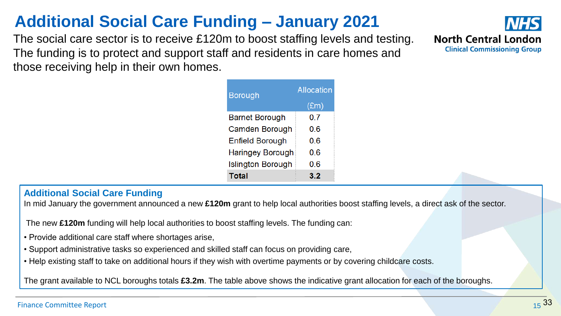## **Additional Social Care Funding – January 2021**

The social care sector is to receive £120m to boost staffing levels and testing. The funding is to protect and support staff and residents in care homes and those receiving help in their own homes.



### **Additional Social Care Funding**

In mid January the government announced a new **£120m** grant to help local authorities boost staffing levels, a direct ask of the sector.

The new **£120m** funding will help local authorities to boost staffing levels. The funding can:

- Provide additional care staff where shortages arise,
- Support administrative tasks so experienced and skilled staff can focus on providing care,
- Help existing staff to take on additional hours if they wish with overtime payments or by covering childcare costs.

The grant available to NCL boroughs totals **£3.2m**. The table above shows the indicative grant allocation for each of the boroughs.

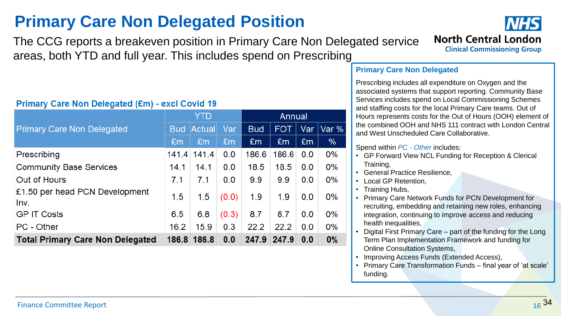## **Primary Care Non Delegated Position**

The CCG reports a breakeven position in Primary Care Non Delegated service areas, both YTD and full year. This includes spend on Prescribing

### **Primary Care Non Delegated (£m) - excl Covid 19**

|                                         |            | <b>YTD</b>     |                | Annual     |       |     |       |  |
|-----------------------------------------|------------|----------------|----------------|------------|-------|-----|-------|--|
| <b>Primary Care Non Delegated</b>       | <b>Bud</b> | Actual         | Var            | <b>Bud</b> | FOT.  | Var | Var % |  |
|                                         | Em         | E <sub>m</sub> | E <sub>m</sub> | £m         | £m    | Em  | %     |  |
| Prescribing                             | 141.4      | 141.4          | 0.0            | 186.6      | 186.6 | 0.0 | $0\%$ |  |
| <b>Community Base Services</b>          | 14.1       | 14.1           | 0.0            | 18.5       | 18.5  | 0.0 | $0\%$ |  |
| Out of Hours                            | 7.1        | 7.1            | 0.0            | 9.9        | 9.9   | 0.0 | $0\%$ |  |
| £1.50 per head PCN Development<br>Inv.  | 1.5        | 1.5            | (0.0)          | 1.9        | 1.9   | 0.0 | $0\%$ |  |
| <b>GP IT Costs</b>                      | 6.5        | 6.8            | (0.3)          | 8.7        | 8.7   | 0.0 | $0\%$ |  |
| PC - Other                              | 16.2       | 15.9           | 0.3            | 22.2       | 22.2  | 0.0 | $0\%$ |  |
| <b>Total Primary Care Non Delegated</b> |            | 186.8 186.8    | 0.0            | 247.9      | 247.9 | 0.0 | $0\%$ |  |



### **Primary Care Non Delegated**

Prescribing includes all expenditure on Oxygen and the associated systems that support reporting. Community Base Services includes spend on Local Commissioning Schemes and staffing costs for the local Primary Care teams. Out of Hours represents costs for the Out of Hours (OOH) element of the combined OOH and NHS 111 contract with London Central and West Unscheduled Care Collaborative.

Spend within *PC - Other* includes:

- GP Forward View NCL Funding for Reception & Clerical Training,
- General Practice Resilience,
- Local GP Retention,
- Training Hubs,
- Primary Care Network Funds for PCN Development for recruiting, embedding and retaining new roles, enhancing integration, continuing to improve access and reducing health inequalities,
- Digital First Primary Care part of the funding for the Long Term Plan Implementation Framework and funding for Online Consultation Systems,
- Improving Access Funds (Extended Access),
- Primary Care Transformation Funds final year of 'at scale' funding.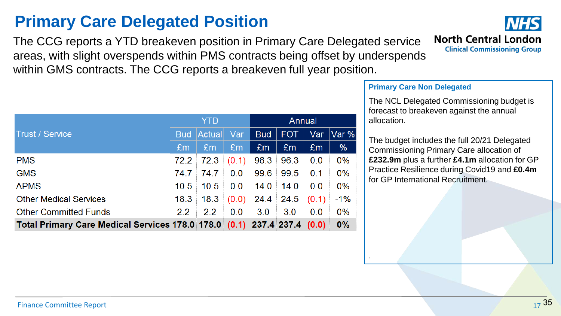## **Primary Care Delegated Position**

The CCG reports a YTD breakeven position in Primary Care Delegated service areas, with slight overspends within PMS contracts being offset by underspends within GMS contracts. The CCG reports a breakeven full year position.

|                                                                         |      | YTD               |                | Annual     |      |       |       |
|-------------------------------------------------------------------------|------|-------------------|----------------|------------|------|-------|-------|
| <b>Trust / Service</b>                                                  |      | <b>Bud Actual</b> | Var            | <b>Bud</b> | FOT. | Var   | Var % |
|                                                                         | Em   | Em                | E <sub>m</sub> | Em         | Em   | Em    | %     |
| <b>PMS</b>                                                              | 72.2 | 72.3              | (0.1)          | 96.3       | 96.3 | 0.0   | 0%    |
| <b>GMS</b>                                                              | 74.7 | 74.7              | 0.0            | 99.6       | 99.5 | 0.1   | 0%    |
| <b>APMS</b>                                                             | 10.5 | 10.5              | 0.0            | 14.0       | 14.0 | 0.0   | 0%    |
| <b>Other Medical Services</b>                                           | 18.3 | 18.3              | (0.0)          | 24.4       | 24.5 | (0.1) | $-1%$ |
| <b>Other Committed Funds</b>                                            | 2.2  | 2.2               | 0.0            | 3.0        | 3.0  | 0.0   | 0%    |
| Total Primary Care Medical Services 178.0 178.0 (0.1) 237.4 237.4 (0.0) |      |                   |                |            |      |       | 0%    |

## **North Central London Clinical Commissioning Group**

### **Primary Care Non Delegated**

.

The NCL Delegated Commissioning budget is forecast to breakeven against the annual allocation.

The budget includes the full 20/21 Delegated Commissioning Primary Care allocation of **£232.9m** plus a further **£4.1m** allocation for GP Practice Resilience during Covid19 and **£0.4m**  for GP International Recruitment.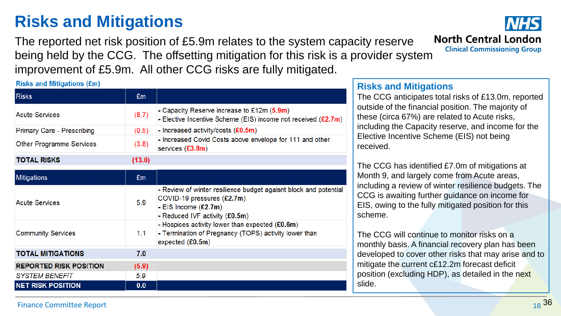## **Risks and Mitigations**

The reported net risk position of £5.9m relates to the system capacity reserve being held by the CCG. The offsetting mitigation for this risk is a provider system improvement of £5.9m. All other CCG risks are fully mitigated.

**Risks and Mitigations (£m)** 

| <b>Risks</b>                      | £m     |                                                                                                                                                              |
|-----------------------------------|--------|--------------------------------------------------------------------------------------------------------------------------------------------------------------|
| <b>Acute Services</b>             | (8.7)  | - Capacity Reserve increase to £12m $(5.9m)$<br>- Elective Incentive Scheme (EIS) income not received $(E2.7m)$                                              |
| <b>Primary Care - Prescribing</b> | (0.5)  | - Increased activity/costs $(£0.5m)$                                                                                                                         |
| <b>Other Programme Services</b>   | (3.8)  | - Increased Covid Costs above envelope for 111 and other<br>services $(E3.8m)$                                                                               |
| <b>TOTAL RISKS</b>                | (13.0) |                                                                                                                                                              |
| <b>Mitigations</b>                | £m     |                                                                                                                                                              |
| <b>Acute Services</b>             | 5.9    | - Review of winter resilience budget agaisnt block and potential<br>COVID-19 pressures (£2.7m)<br>- EIS Income $(E2.7m)$<br>- Reduced IVF activity $(£0.5m)$ |
| <b>Community Services</b>         | 1.1    | - Hospices activity lower than expected $(£0.6m)$<br>- Termination of Pregnancy (TOPS) activity lower than<br>expected $(E0.5m)$                             |
| <b>TOTAL MITIGATIONS</b>          | 7.0    |                                                                                                                                                              |
| <b>REPORTED RISK POSITION</b>     | (5.9)  |                                                                                                                                                              |
| <b>SYSTEM BENEFIT</b>             | 5.9    |                                                                                                                                                              |
| <b>NET RISK POSITION</b>          | 0.0    |                                                                                                                                                              |

## **North Central London Clinical Commissioning Group**

**Risks and Mitigations**

The CCG anticipates total risks of £13.0m, reported outside of the financial position. The majority of these (circa 67%) are related to Acute risks, including the Capacity reserve, and income for the Elective Incentive Scheme (EIS) not being received.

The CCG has identified £7.0m of mitigations at Month 9, and largely come from Acute areas, including a review of winter resilience budgets. The CCG is awaiting further guidance on income for EIS, owing to the fully mitigated position for this scheme.

The CCG will continue to monitor risks on a monthly basis. A financial recovery plan has been developed to cover other risks that may arise and to mitigate the current c£12.2m forecast deficit position (excluding HDP), as detailed in the next slide.

**Finance Committee Report** 2012 18 and date here 18 and date here 18 and date here 18 and 36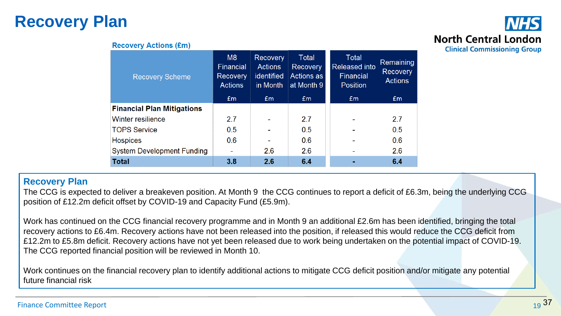## **Recovery Plan**

## **North Central London Clinical Commissioning Group**

### **Recovery Actions (£m)**

| <b>Recovery Scheme</b>            | M8<br>Financial<br><b>Recovery</b><br><b>Actions</b> | <b>Recovery</b><br><b>Actions</b><br>identified<br>in Month | <b>Total</b><br>Recovery<br>Actions as<br>at Month 9 | Total<br><b>Released into</b><br>Financial<br><b>Position</b> | Remaining<br><b>Recovery</b><br><b>Actions</b> |
|-----------------------------------|------------------------------------------------------|-------------------------------------------------------------|------------------------------------------------------|---------------------------------------------------------------|------------------------------------------------|
|                                   | Em                                                   | £m                                                          | Em <sub>1</sub>                                      | £m                                                            | £m                                             |
| <b>Financial Plan Mitigations</b> |                                                      |                                                             |                                                      |                                                               |                                                |
| <b>Winter resilience</b>          | 2.7                                                  |                                                             | 2.7                                                  |                                                               | 2.7                                            |
| <b>TOPS Service</b>               | 0.5                                                  |                                                             | 0.5                                                  |                                                               | 0.5                                            |
| <b>Hospices</b>                   | 0.6                                                  |                                                             | 0.6                                                  |                                                               | 0.6                                            |
| <b>System Development Funding</b> |                                                      | 2.6                                                         | 2.6                                                  |                                                               | 2.6                                            |
| <b>Total</b>                      | 3.8                                                  | 2.6                                                         | 6.4                                                  | $\blacksquare$                                                | 6.4                                            |

### **Recovery Plan**

The CCG is expected to deliver a breakeven position. At Month 9 the CCG continues to report a deficit of £6.3m, being the underlying CCG position of £12.2m deficit offset by COVID-19 and Capacity Fund (£5.9m).

Work has continued on the CCG financial recovery programme and in Month 9 an additional £2.6m has been identified, bringing the total recovery actions to £6.4m. Recovery actions have not been released into the position, if released this would reduce the CCG deficit from £12.2m to £5.8m deficit. Recovery actions have not yet been released due to work being undertaken on the potential impact of COVID-19. The CCG reported financial position will be reviewed in Month 10.

Work continues on the financial recovery plan to identify additional actions to mitigate CCG deficit position and/or mitigate any potential future financial risk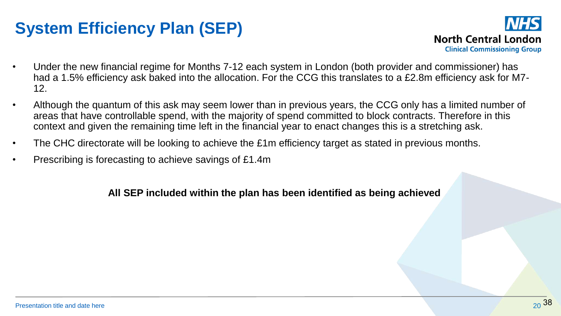## **System Efficiency Plan (SEP)**



- Under the new financial regime for Months 7-12 each system in London (both provider and commissioner) has had a 1.5% efficiency ask baked into the allocation. For the CCG this translates to a £2.8m efficiency ask for M7- 12.
- Although the quantum of this ask may seem lower than in previous years, the CCG only has a limited number of areas that have controllable spend, with the majority of spend committed to block contracts. Therefore in this context and given the remaining time left in the financial year to enact changes this is a stretching ask.
- The CHC directorate will be looking to achieve the £1m efficiency target as stated in previous months.
- Prescribing is forecasting to achieve savings of £1.4m

### **All SEP included within the plan has been identified as being achieved**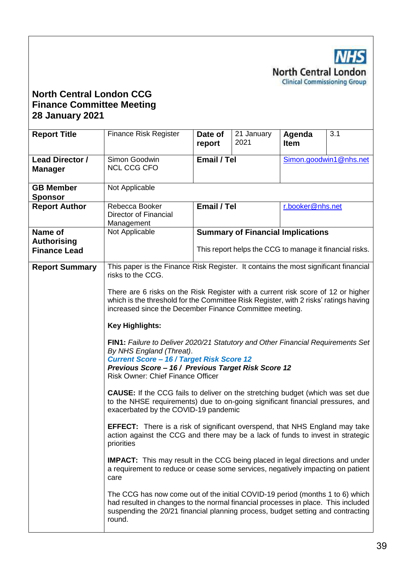**NHS** North Central London<br>Clinical Commissioning Group

### **North Central London CCG Finance Committee Meeting 28 January 2021**

| <b>Report Title</b>                       | <b>Finance Risk Register</b>                                                                                                                                                                                                                                       | Date of<br>report                                                                                                                                                                                                                                                                                                                               | 21 January<br>2021                       | Agenda<br><b>Item</b> | 3.1 |  |  |  |  |
|-------------------------------------------|--------------------------------------------------------------------------------------------------------------------------------------------------------------------------------------------------------------------------------------------------------------------|-------------------------------------------------------------------------------------------------------------------------------------------------------------------------------------------------------------------------------------------------------------------------------------------------------------------------------------------------|------------------------------------------|-----------------------|-----|--|--|--|--|
| <b>Lead Director /</b><br><b>Manager</b>  | Simon Goodwin<br><b>NCL CCG CFO</b>                                                                                                                                                                                                                                | Email / Tel<br>Simon.goodwin1@nhs.net                                                                                                                                                                                                                                                                                                           |                                          |                       |     |  |  |  |  |
| <b>GB Member</b><br><b>Sponsor</b>        | Not Applicable                                                                                                                                                                                                                                                     |                                                                                                                                                                                                                                                                                                                                                 |                                          |                       |     |  |  |  |  |
| <b>Report Author</b>                      | Rebecca Booker<br><b>Director of Financial</b><br>Management                                                                                                                                                                                                       | Email / Tel<br>r.booker@nhs.net                                                                                                                                                                                                                                                                                                                 |                                          |                       |     |  |  |  |  |
| Name of                                   | Not Applicable                                                                                                                                                                                                                                                     |                                                                                                                                                                                                                                                                                                                                                 | <b>Summary of Financial Implications</b> |                       |     |  |  |  |  |
| <b>Authorising</b><br><b>Finance Lead</b> |                                                                                                                                                                                                                                                                    | This report helps the CCG to manage it financial risks.                                                                                                                                                                                                                                                                                         |                                          |                       |     |  |  |  |  |
| <b>Report Summary</b>                     | This paper is the Finance Risk Register. It contains the most significant financial<br>risks to the CCG.                                                                                                                                                           |                                                                                                                                                                                                                                                                                                                                                 |                                          |                       |     |  |  |  |  |
|                                           | There are 6 risks on the Risk Register with a current risk score of 12 or higher<br>which is the threshold for the Committee Risk Register, with 2 risks' ratings having<br>increased since the December Finance Committee meeting.                                |                                                                                                                                                                                                                                                                                                                                                 |                                          |                       |     |  |  |  |  |
|                                           | <b>Key Highlights:</b>                                                                                                                                                                                                                                             |                                                                                                                                                                                                                                                                                                                                                 |                                          |                       |     |  |  |  |  |
|                                           | FIN1: Failure to Deliver 2020/21 Statutory and Other Financial Requirements Set<br>By NHS England (Threat).<br><b>Current Score - 16 / Target Risk Score 12</b><br>Previous Score - 16 / Previous Target Risk Score 12<br><b>Risk Owner: Chief Finance Officer</b> |                                                                                                                                                                                                                                                                                                                                                 |                                          |                       |     |  |  |  |  |
|                                           | <b>CAUSE:</b> If the CCG fails to deliver on the stretching budget (which was set due<br>to the NHSE requirements) due to on-going significant financial pressures, and<br>exacerbated by the COVID-19 pandemic                                                    |                                                                                                                                                                                                                                                                                                                                                 |                                          |                       |     |  |  |  |  |
|                                           | priorities                                                                                                                                                                                                                                                         | <b>EFFECT:</b> There is a risk of significant overspend, that NHS England may take<br>action against the CCG and there may be a lack of funds to invest in strategic<br><b>IMPACT:</b> This may result in the CCG being placed in legal directions and under<br>a requirement to reduce or cease some services, negatively impacting on patient |                                          |                       |     |  |  |  |  |
|                                           | care                                                                                                                                                                                                                                                               |                                                                                                                                                                                                                                                                                                                                                 |                                          |                       |     |  |  |  |  |
|                                           | The CCG has now come out of the initial COVID-19 period (months 1 to 6) which<br>had resulted in changes to the normal financial processes in place. This included<br>suspending the 20/21 financial planning process, budget setting and contracting<br>round.    |                                                                                                                                                                                                                                                                                                                                                 |                                          |                       |     |  |  |  |  |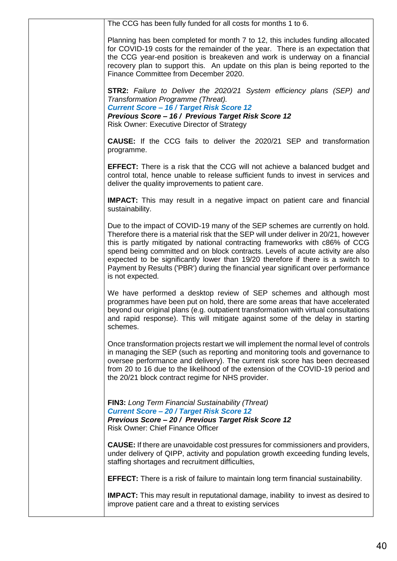| The CCG has been fully funded for all costs for months 1 to 6.                                                                                                                                                                                                                                                                                                                                                                                                                                                                      |
|-------------------------------------------------------------------------------------------------------------------------------------------------------------------------------------------------------------------------------------------------------------------------------------------------------------------------------------------------------------------------------------------------------------------------------------------------------------------------------------------------------------------------------------|
| Planning has been completed for month 7 to 12, this includes funding allocated<br>for COVID-19 costs for the remainder of the year. There is an expectation that<br>the CCG year-end position is breakeven and work is underway on a financial<br>recovery plan to support this. An update on this plan is being reported to the<br>Finance Committee from December 2020.                                                                                                                                                           |
| <b>STR2:</b> Failure to Deliver the 2020/21 System efficiency plans (SEP) and<br>Transformation Programme (Threat).<br>Current Score - 16 / Target Risk Score 12<br>Previous Score - 16 / Previous Target Risk Score 12<br><b>Risk Owner: Executive Director of Strategy</b>                                                                                                                                                                                                                                                        |
| <b>CAUSE:</b> If the CCG fails to deliver the 2020/21 SEP and transformation<br>programme.                                                                                                                                                                                                                                                                                                                                                                                                                                          |
| <b>EFFECT:</b> There is a risk that the CCG will not achieve a balanced budget and<br>control total, hence unable to release sufficient funds to invest in services and<br>deliver the quality improvements to patient care.                                                                                                                                                                                                                                                                                                        |
| <b>IMPACT:</b> This may result in a negative impact on patient care and financial<br>sustainability.                                                                                                                                                                                                                                                                                                                                                                                                                                |
| Due to the impact of COVID-19 many of the SEP schemes are currently on hold.<br>Therefore there is a material risk that the SEP will under deliver in 20/21, however<br>this is partly mitigated by national contracting frameworks with c86% of CCG<br>spend being committed and on block contracts. Levels of acute activity are also<br>expected to be significantly lower than 19/20 therefore if there is a switch to<br>Payment by Results ('PBR') during the financial year significant over performance<br>is not expected. |
| We have performed a desktop review of SEP schemes and although most<br>programmes have been put on hold, there are some areas that have accelerated<br>beyond our original plans (e.g. outpatient transformation with virtual consultations<br>and rapid response). This will mitigate against some of the delay in starting<br>schemes.                                                                                                                                                                                            |
| Once transformation projects restart we will implement the normal level of controls<br>in managing the SEP (such as reporting and monitoring tools and governance to<br>oversee performance and delivery). The current risk score has been decreased<br>from 20 to 16 due to the likelihood of the extension of the COVID-19 period and<br>the 20/21 block contract regime for NHS provider.                                                                                                                                        |
| <b>FIN3:</b> Long Term Financial Sustainability (Threat)<br><b>Current Score - 20 / Target Risk Score 12</b><br>Previous Score - 20 / Previous Target Risk Score 12<br><b>Risk Owner: Chief Finance Officer</b>                                                                                                                                                                                                                                                                                                                     |
| <b>CAUSE:</b> If there are unavoidable cost pressures for commissioners and providers,<br>under delivery of QIPP, activity and population growth exceeding funding levels,<br>staffing shortages and recruitment difficulties,                                                                                                                                                                                                                                                                                                      |
| <b>EFFECT:</b> There is a risk of failure to maintain long term financial sustainability.                                                                                                                                                                                                                                                                                                                                                                                                                                           |
| <b>IMPACT:</b> This may result in reputational damage, inability to invest as desired to<br>improve patient care and a threat to existing services                                                                                                                                                                                                                                                                                                                                                                                  |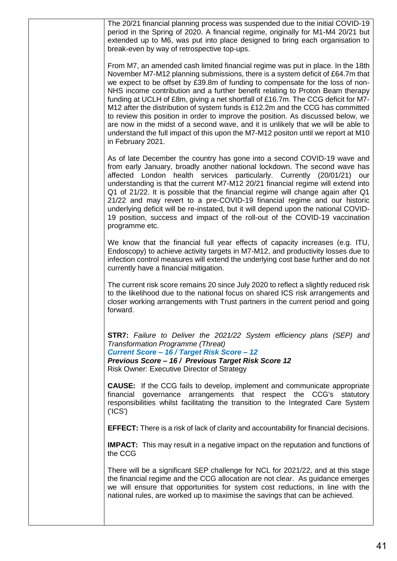| The 20/21 financial planning process was suspended due to the initial COVID-19<br>period in the Spring of 2020. A financial regime, originally for M1-M4 20/21 but<br>extended up to M6, was put into place designed to bring each organisation to<br>break-even by way of retrospective top-ups.                                                                                                                                                                                                                                                                                                                                                                                                                                                                                              |
|------------------------------------------------------------------------------------------------------------------------------------------------------------------------------------------------------------------------------------------------------------------------------------------------------------------------------------------------------------------------------------------------------------------------------------------------------------------------------------------------------------------------------------------------------------------------------------------------------------------------------------------------------------------------------------------------------------------------------------------------------------------------------------------------|
| From M7, an amended cash limited financial regime was put in place. In the 18th<br>November M7-M12 planning submissions, there is a system deficit of £64.7m that<br>we expect to be offset by £39.8m of funding to compensate for the loss of non-<br>NHS income contribution and a further benefit relating to Proton Beam therapy<br>funding at UCLH of £8m, giving a net shortfall of £16.7m. The CCG deficit for M7-<br>M12 after the distribution of system funds is £12.2m and the CCG has committed<br>to review this position in order to improve the position. As discussed below, we<br>are now in the midst of a second wave, and it is unlikely that we will be able to<br>understand the full impact of this upon the M7-M12 positon until we report at M10<br>in February 2021. |
| As of late December the country has gone into a second COVID-19 wave and<br>from early January, broadly another national lockdown. The second wave has<br>affected London health services particularly. Currently (20/01/21) our<br>understanding is that the current M7-M12 20/21 financial regime will extend into<br>Q1 of 21/22. It is possible that the financial regime will change again after Q1<br>21/22 and may revert to a pre-COVID-19 financial regime and our historic<br>underlying deficit will be re-instated, but it will depend upon the national COVID-<br>19 position, success and impact of the roll-out of the COVID-19 vaccination<br>programme etc.                                                                                                                   |
| We know that the financial full year effects of capacity increases (e.g. ITU,<br>Endoscopy) to achieve activity targets in M7-M12, and productivity losses due to<br>infection control measures will extend the underlying cost base further and do not<br>currently have a financial mitigation.                                                                                                                                                                                                                                                                                                                                                                                                                                                                                              |
| The current risk score remains 20 since July 2020 to reflect a slightly reduced risk<br>to the likelihood due to the national focus on shared ICS risk arrangements and<br>closer working arrangements with Trust partners in the current period and going<br>forward.                                                                                                                                                                                                                                                                                                                                                                                                                                                                                                                         |
| <b>STR7:</b> Failure to Deliver the 2021/22 System efficiency plans (SEP) and<br><b>Transformation Programme (Threat)</b><br>Current Score - 16 / Target Risk Score - 12<br>Previous Score - 16 / Previous Target Risk Score 12<br><b>Risk Owner: Executive Director of Strategy</b>                                                                                                                                                                                                                                                                                                                                                                                                                                                                                                           |
| <b>CAUSE:</b> If the CCG fails to develop, implement and communicate appropriate<br>financial governance arrangements that respect the CCG's statutory<br>responsibilities whilst facilitating the transition to the Integrated Care System<br>(′ICS′)                                                                                                                                                                                                                                                                                                                                                                                                                                                                                                                                         |
| <b>EFFECT:</b> There is a risk of lack of clarity and accountability for financial decisions.                                                                                                                                                                                                                                                                                                                                                                                                                                                                                                                                                                                                                                                                                                  |
| <b>IMPACT:</b> This may result in a negative impact on the reputation and functions of<br>the CCG                                                                                                                                                                                                                                                                                                                                                                                                                                                                                                                                                                                                                                                                                              |
| There will be a significant SEP challenge for NCL for 2021/22, and at this stage<br>the financial regime and the CCG allocation are not clear. As guidance emerges<br>we will ensure that opportunities for system cost reductions, in line with the<br>national rules, are worked up to maximise the savings that can be achieved.                                                                                                                                                                                                                                                                                                                                                                                                                                                            |
|                                                                                                                                                                                                                                                                                                                                                                                                                                                                                                                                                                                                                                                                                                                                                                                                |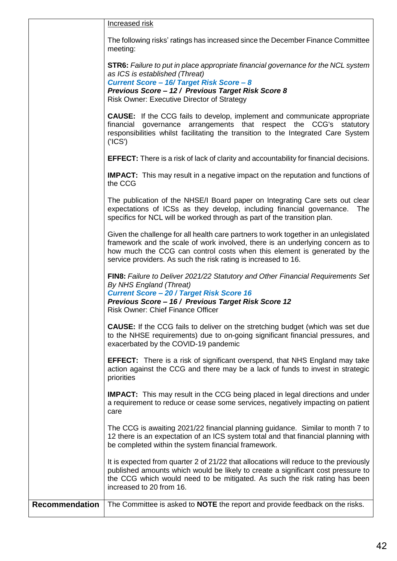|                       | Increased risk                                                                                                                                                                                                                                                                                                       |
|-----------------------|----------------------------------------------------------------------------------------------------------------------------------------------------------------------------------------------------------------------------------------------------------------------------------------------------------------------|
|                       | The following risks' ratings has increased since the December Finance Committee<br>meeting:                                                                                                                                                                                                                          |
|                       | <b>STR6:</b> Failure to put in place appropriate financial governance for the NCL system<br>as ICS is established (Threat)<br>Current Score - 16/ Target Risk Score - 8<br>Previous Score - 12 / Previous Target Risk Score 8<br>Risk Owner: Executive Director of Strategy                                          |
|                       | <b>CAUSE:</b> If the CCG fails to develop, implement and communicate appropriate<br>financial governance arrangements that respect the CCG's statutory<br>responsibilities whilst facilitating the transition to the Integrated Care System<br>$(′$ ICS $′$ )                                                        |
|                       | <b>EFFECT:</b> There is a risk of lack of clarity and accountability for financial decisions.                                                                                                                                                                                                                        |
|                       | <b>IMPACT:</b> This may result in a negative impact on the reputation and functions of<br>the CCG                                                                                                                                                                                                                    |
|                       | The publication of the NHSE/I Board paper on Integrating Care sets out clear<br>expectations of ICSs as they develop, including financial governance.<br>The<br>specifics for NCL will be worked through as part of the transition plan.                                                                             |
|                       | Given the challenge for all health care partners to work together in an unlegislated<br>framework and the scale of work involved, there is an underlying concern as to<br>how much the CCG can control costs when this element is generated by the<br>service providers. As such the risk rating is increased to 16. |
|                       | FIN8: Failure to Deliver 2021/22 Statutory and Other Financial Requirements Set<br>By NHS England (Threat)<br><b>Current Score - 20 / Target Risk Score 16</b><br>Previous Score - 16 / Previous Target Risk Score 12<br><b>Risk Owner: Chief Finance Officer</b>                                                    |
|                       | <b>CAUSE:</b> If the CCG fails to deliver on the stretching budget (which was set due<br>to the NHSE requirements) due to on-going significant financial pressures, and<br>exacerbated by the COVID-19 pandemic                                                                                                      |
|                       | <b>EFFECT:</b> There is a risk of significant overspend, that NHS England may take<br>action against the CCG and there may be a lack of funds to invest in strategic<br>priorities                                                                                                                                   |
|                       | <b>IMPACT:</b> This may result in the CCG being placed in legal directions and under<br>a requirement to reduce or cease some services, negatively impacting on patient<br>care                                                                                                                                      |
|                       | The CCG is awaiting 2021/22 financial planning guidance. Similar to month 7 to<br>12 there is an expectation of an ICS system total and that financial planning with<br>be completed within the system financial framework.                                                                                          |
|                       | It is expected from quarter 2 of 21/22 that allocations will reduce to the previously<br>published amounts which would be likely to create a significant cost pressure to<br>the CCG which would need to be mitigated. As such the risk rating has been<br>increased to 20 from 16.                                  |
| <b>Recommendation</b> | The Committee is asked to <b>NOTE</b> the report and provide feedback on the risks.                                                                                                                                                                                                                                  |
|                       |                                                                                                                                                                                                                                                                                                                      |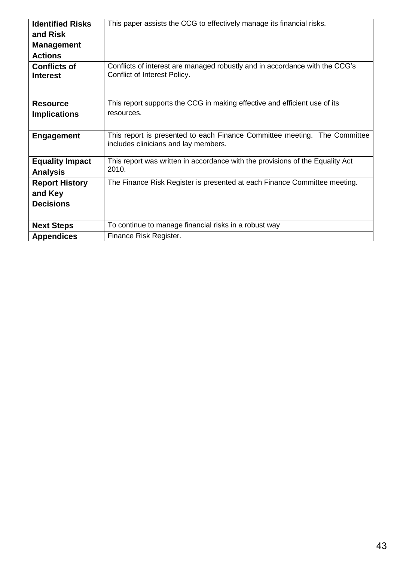| <b>Identified Risks</b> | This paper assists the CCG to effectively manage its financial risks.         |
|-------------------------|-------------------------------------------------------------------------------|
| and Risk                |                                                                               |
| <b>Management</b>       |                                                                               |
| <b>Actions</b>          |                                                                               |
| <b>Conflicts of</b>     | Conflicts of interest are managed robustly and in accordance with the CCG's   |
| <b>Interest</b>         | Conflict of Interest Policy.                                                  |
|                         |                                                                               |
| <b>Resource</b>         | This report supports the CCG in making effective and efficient use of its     |
| <b>Implications</b>     | resources.                                                                    |
|                         |                                                                               |
| <b>Engagement</b>       | This report is presented to each Finance Committee meeting. The Committee     |
|                         | includes clinicians and lay members.                                          |
|                         |                                                                               |
| <b>Equality Impact</b>  | This report was written in accordance with the provisions of the Equality Act |
| <b>Analysis</b>         | 2010.                                                                         |
| <b>Report History</b>   | The Finance Risk Register is presented at each Finance Committee meeting.     |
| and Key                 |                                                                               |
| <b>Decisions</b>        |                                                                               |
|                         |                                                                               |
| <b>Next Steps</b>       | To continue to manage financial risks in a robust way                         |
| <b>Appendices</b>       | Finance Risk Register.                                                        |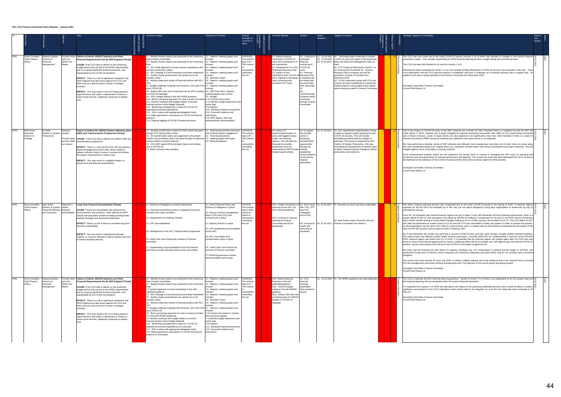|      |                  |                                                                 |                                                                             |                                          |                                                                                                                                                                                                                                                                                                                                                                                                                                                                                                                                                                                                                                                                                                                  | Controls in place                                                                                                                                                                                                                                                                                                                                                                                                                                                                                                                                                                                                                                                                                                                                                                                                                                                                                                                                                                                                                                                                                                                                                                                                                                                                                                                                                           | Evidence of Controls                                                                                                                                                                                                                                                                                                                                                                                                                       | Overal<br>Strength of<br>Controls in<br>place                                                               | <b>Controls Needed</b>                                                                                                                                                                                                                                                                                                                 | Actions                                                                                                                                                                                          | Action<br>Deadline | Update on Actions                                                                                                                                                                                                                                                                                                                                                                                                                                                                                                                                                            |             | Strategic Update for Committee                                                                                                                                                                                                                                                                                                                                                                                                                                                                                                                                                                                                                                                                                                                                                                                                                                                                     |
|------|------------------|-----------------------------------------------------------------|-----------------------------------------------------------------------------|------------------------------------------|------------------------------------------------------------------------------------------------------------------------------------------------------------------------------------------------------------------------------------------------------------------------------------------------------------------------------------------------------------------------------------------------------------------------------------------------------------------------------------------------------------------------------------------------------------------------------------------------------------------------------------------------------------------------------------------------------------------|-----------------------------------------------------------------------------------------------------------------------------------------------------------------------------------------------------------------------------------------------------------------------------------------------------------------------------------------------------------------------------------------------------------------------------------------------------------------------------------------------------------------------------------------------------------------------------------------------------------------------------------------------------------------------------------------------------------------------------------------------------------------------------------------------------------------------------------------------------------------------------------------------------------------------------------------------------------------------------------------------------------------------------------------------------------------------------------------------------------------------------------------------------------------------------------------------------------------------------------------------------------------------------------------------------------------------------------------------------------------------------|--------------------------------------------------------------------------------------------------------------------------------------------------------------------------------------------------------------------------------------------------------------------------------------------------------------------------------------------------------------------------------------------------------------------------------------------|-------------------------------------------------------------------------------------------------------------|----------------------------------------------------------------------------------------------------------------------------------------------------------------------------------------------------------------------------------------------------------------------------------------------------------------------------------------|--------------------------------------------------------------------------------------------------------------------------------------------------------------------------------------------------|--------------------|------------------------------------------------------------------------------------------------------------------------------------------------------------------------------------------------------------------------------------------------------------------------------------------------------------------------------------------------------------------------------------------------------------------------------------------------------------------------------------------------------------------------------------------------------------------------------|-------------|----------------------------------------------------------------------------------------------------------------------------------------------------------------------------------------------------------------------------------------------------------------------------------------------------------------------------------------------------------------------------------------------------------------------------------------------------------------------------------------------------------------------------------------------------------------------------------------------------------------------------------------------------------------------------------------------------------------------------------------------------------------------------------------------------------------------------------------------------------------------------------------------------|
|      | FIN1             | Simon Goodwin<br>Chief Finance<br>Officer                       | Rebecca Booker<br>Director of<br>Financial<br>Management                    | and Live<br>Within Our<br>Means          | Provide Value Failure to Deliver 2020/21 Statutory and Other<br><b>Financial Requirements Set By NHS England (Threat)</b><br><b>CAUSE:</b> If the CCG fails to deliver on the stretching<br>budget (which was set due to the NHSE requirements)<br>due to on-going significant financial pressures, and<br>exacerbated by the COVID-19 pandemic<br>EFFECT: There is a risk of significant overspend, that<br>NHS England may take action against the CCG and<br>there may be a lack of funds to invest in strategic<br>priorities<br>IMPACT: This may result in the CCG being placed in<br>legal directions and under a requirement to reduce or<br>cease some services, negatively impacting on patient<br>care | C1. Monthly finance reports are presented to the Governing   C1. Reports, meeting papers and<br><b>Body Finance Committee</b><br>C2. Regular finance reports are presented at the Governing C2. Reports, meeting papers and<br>C3. NCL Wide approach to acute contract negotiations and<br>contract monitoring in place<br>C4. NCL Strategy & Commissioning Committee established C4. Reports, meeting papers and<br>C5. Quality impact assessments are carried out on all<br>business cases<br>C6. Monthly deep-dive review of financial position with NCL C6. Reports, meeting papers and<br>CFO<br>C7. Budget challenge meetings with Directors, DoF and COO C7. Reports, meeting papers and<br>(post COVID-19)<br>C8. Robust SEP plan and monitoring tools for 20/21 (subject C8. SEP Plan 20/21, Reports,<br>to COVID-19 slippage)<br>C9. 20/21 budget setting in line with NHSE guidance<br>C10. Block contracting approach for main in-sector providers C.10 Contract documents<br>C11. Monthly meetings with budget holders to monitor<br>inancial position (once budget finalised)<br>C12. Monitoring arrangements in place for COVID-19<br>expenditure and total expenditure;<br>C13. SFIs in place with appropriate delegation limits.<br>C14. Make payments in accordance to COVID-19 financial<br>ıuidance<br>C15. Ongoing logging of COVID-19 spend decisions | ninutes<br>minutes<br>C3. Reports, meeting papers and<br>ninute<br>minutes<br>C5. Business Cases<br>minutes<br>minutes<br>meeting papers and minutes<br>C9. Budget<br>C.11 Monthly budget statements and<br>action logs<br>C12 Reports<br>C13. Standing Financial Instructions<br>C14. Financial Guidance and<br>nstructions<br>C15. EMT papers, and Cost<br>reimbursement documentation                                                   | AVERAGE:<br>he controls<br>have a 61 –<br>79% chance<br>successfully<br>controlling<br>the risk             | C1. Robust financial<br>monitoring of COVID-19<br>costs and consideration of<br>exit implications<br>C2. Development of a CCG COVID-19<br>Financially Recovery Plan<br>C3. Impact of cost<br>implications from COVID-19 Recovery Plan<br>exit in regards to discharge in progress will<br>costs converting into<br>increased CHC costs | undertake<br>financial<br>monitoring of<br>A2. Financial<br>be shared with<br>the committee<br>from December<br>CHC/Discharge<br>Schemes being<br>monitored<br>through Finance<br>Committee:     |                    | A1. Continue to A1. 31.03.2021 A1. The finance team continues to monitor<br>A2. 31.03.2021 COVID-19 costs and report to the Governing<br>A3. 31.03.2021   Body and Executive Management Team on<br>A2. CCG Financial Planning for months 7 to<br>12 resubmission November 20. Finance<br>Recovery Plan in progress and will be<br>reported to Finance Committee from<br>December 2020<br>A3. A CHC restoration group with CCG and<br>Council has been established to oversee the<br>implementation of the guidance and update<br>reports being provided to Finance Committee |             | he CCG has now come out of the initia<br>processes in place. This included suspen<br>The CCG has been fully funded for all cos<br>lanning has been completed for month 7<br>is an expectation that the CCG year-end<br>update on this plan is being reported to the<br>Oversight Committee: Finance Committee<br>Current Risk Rating: 16                                                                                                                                                                                                                                                                                                                                                                                                                                                                                                                                                           |
|      | STR <sub>2</sub> | Will Huxter<br>Executive<br>Director of<br>Strategy             | Ali Malik -<br>Director of System<br>Productivity,                          | <b>Enhance</b><br>Quality;<br>our means; | Failure to Deliver the 2020/21 System efficiency plans<br>(SEP) and Transformation Programme (Threat)<br>Provide value CAUSE: If the CCG fails to deliver the 2020/21 SEP and<br>and live within transformation programme<br>EFFECT: There is a risk that the CCG will not achieve a<br>balanced budget and control total, hence unable to<br>release sufficient funds to invest in services and deliver<br>the quality improvements to patient care.<br><b>IMPACT:</b> This may result in a negative impact on<br>patient care and financial sustainability.                                                                                                                                                    | C1. Worked up SEP plan in place for 20/21 which has gone C1. Planning documents and email<br>hrough CCG and provider review<br>C2. All transformation plans are supported by the project<br>initiation documentation which has gone through an approval C3. Meeting papers and notes<br>process based on lessons learned<br>C3. CCG SEP signed off by borough finance committees<br>prior to COVID-19<br>C4. Block contracts with providers                                                                                                                                                                                                                                                                                                                                                                                                                                                                                                                                                                                                                                                                                                                                                                                                                                                                                                                                 | trail showing system engagement<br>C2. Planning documents<br>C4. National guidance                                                                                                                                                                                                                                                                                                                                                         | AVERAGE:<br>The controls<br>have a $61 -$<br>79% chance<br>successfully<br>controlling<br>the risk          | CN: refocus of<br>transformational plans on<br>areas with biggest impact<br>(under new financial<br>regime) - this will likely be<br>focussed on provider<br>productivity (such as<br>implementing GIRFT/model recently<br>hospital opportunities).                                                                                    | A1: to support<br>the provider<br>sector in<br>identifying<br>transformation<br>opportunities<br>through the<br>established<br>clinical networks<br>for the priority<br>surgical<br>specialities |                    | A1: 31.03.2021 A1: NCL Operational Implementation Group<br>in place to support system planning for post<br>COVID-19 recovery. This will include<br>embedding transformational changes in<br>pathways. This group is supported by NCL<br>Director of System Productivity. OIG also<br>overseeing the development of network plans<br>to deliver transformational changes to deliver<br>productivity improvements.                                                                                                                                                             |             | Due to the impact of COVID-19 many of<br>under deliver in 20/21, however this is pa<br>and on block contracts. Levels of acute a<br>Payment by Results ('PBR') during the fina<br>We have performed a desktop review of<br>that have accelerated beyond our original<br>mitigate against some of the delay in start<br>Once transformation projects restart we<br>monitoring tools and governance to overs<br>the likelihood of the extension of the COVI<br>Oversight Committee: Finance Committee<br>Current Risk Rating: 16                                                                                                                                                                                                                                                                                                                                                                     |
|      | FIN3             | Simon Goodwin - Gary Sired -<br><b>Chief Finance</b><br>Officer | Director of System Deliver<br>Financial Planning financial<br>and Assurance | sustainability                           | Objective 1 - Long Term Financial Sustainability (Threat)<br>CAUSE: If there are unavoidable cost pressures for<br>commissioners and providers, under delivery of QIPP,<br>activity and population growth exceeding funding levels,<br>staffing shortages and recruitment difficulties,<br>EFFECT: There is a risk of failure to maintain long term<br>financial sustainability.<br>IMPACT: This may result in reputational damage,<br>inability to invest as desired to improve patient care and<br>a threat to existing services                                                                                                                                                                               | C1. Scheme of Delegation to control expenditure<br>C2. Improved contracting function to negotiate improved<br>contracts with major providers<br>C3. Appointment of a Delivery Director<br>C4. STP now established<br>C5. Development of the NCL Transformation programme<br>C6. Audit Chair now Finance lay member of Finance<br>committee<br>C7. Implementing recommendations from the financial<br>governance review including timing of key committees.                                                                                                                                                                                                                                                                                                                                                                                                                                                                                                                                                                                                                                                                                                                                                                                                                                                                                                                  | C1. Prime Financial Policy and<br>Scheme of Delegation in place<br>C2. Robust Contract management<br>teams (CSU and CCG) and<br>contracts are in place.<br>C3. Delivery director in place<br>C4. STP established and embedded<br>across NCL<br>C5. NCL committees and<br>transformation plans in place<br>C6. Audit Chair now Finance lay<br>member of Finance committee<br>C7. Financial governance review<br>recommendation action plan. | STRONG:<br>The controls<br>have a 80%+<br>chance or<br>higher of<br>successfully<br>controlling<br>the risk | reporting across NCL via<br>CSU recommendations<br>CN2. Continue to improve<br>reporting to Finance<br>Committee and GB as<br>appropriate.                                                                                                                                                                                             | with CSU, STP<br>and CCG<br>colleagues<br>across NCL<br>review and<br>improving of<br>processes                                                                                                  |                    | CN1. Greater consistency in A1. Work closer A1. 31.03.2021 A1. Business as usual has been suspended.<br>A2. New finance report format for GB and<br>A2. Continuous A2. 31.03.2021 Finance Committee from Month 2                                                                                                                                                                                                                                                                                                                                                             | $12$ $\Box$ | The 20/21 financial planning process wa<br>originally for M1-M4 20/21 but extended<br>retrospective top-ups.<br>From M7, an amended cash limited finan<br>system deficit of £64.7m that we expect t<br>and a further benefit relating to Proton Be<br>M12 after the distribution of system funds<br>As discussed below, we are now in the mi-<br>upon the M7-M12 positon until we report a<br>As of late December the country has gon<br>The second wave has affected London he<br>20/21 financial regime will extend into Q<br>revert to a pre-Covid financial regime and<br>position, success and impact of the roll-ou<br>We know that the financial full year effe<br>productivity losses due to infection contro<br>mitigation.<br>The current risk score remains 20 since J<br>ICS risk arrangements and closer working<br>Oversight Committee: Finance Committee<br>Current Risk Rating: 20 |
| FIN8 |                  | Simon Goodwin -<br><b>Chief Finance</b><br>Officer              | Rebecca Booker -<br>Director of<br>Financial<br>Management                  | and Live<br>Within Our<br>Means          | Provide Value Failure to Deliver 2021/22 Statutory and Other<br>Financial Requirements Set By NHS England (Threat)<br>CAUSE: If the CCG fails to deliver on the stretching<br>budget (which was set due to the NHSE requirements)<br>due to on-going significant financial pressures, and<br>exacerbated by the COVID-19 pandemic<br>EFFECT: There is a risk of significant overspend, that<br>NHS England may take action against the CCG and<br>there may be a lack of funds to invest in strategic<br>priorities<br><b>IMPACT:</b> This may result in the CCG being placed in<br>legal directions and under a requirement to reduce or<br>cease some services, negatively impacting on patient<br>care        | C1. Monthly finance reports are presented to the Governing C1. Reports, meeting papers and<br><b>Body Finance Committee</b><br>C2. Regular finance reports are presented at the Governing C2. Reports, meeting papers and<br>Body<br>C3. System approach to acute contracting in line with<br>published quidance<br>C4. NCL Strategy & Commissioning Committee established C4. Reports, meeting papers and<br>C5. Quality impact assessments are carried out on all<br>business cases<br>C6. Monthly deep-dive review of financial position with NCL C6. Reports, meeting papers and<br>CFO<br>C7. Budget challenge meetings with Directors, DoF and COO C7. Reports, meeting papers and<br>(post COVID-19)<br>C8. Block contracting approach for main in-sector providers C.8 Contract documents or System<br>if in line with NHSE/I guidance)<br>C9. Monthly meetings with budget holders to monitor<br>financial position (once budget finalised)<br>C10. Monitoring arrangements in place for COVID-19<br>expenditure and total expenditure; (if continued)<br>C11. SFIs in place with appropriate delegation limits.<br>C12. Make payments in accordance to COVID-19 financial<br>guidance (if continued)                                                                                                                                                              | minutes<br>minutes<br>C3. Reports, meeting papers and<br>minutes<br>minutes<br>C5. Business Cases<br>minutes<br>minutes<br>block amounts agreed<br>C.9 Monthly budget statements and<br>action logs<br>C10 Reports<br>C11. Standing Financial Instructions<br>C12. Financial Guidance and<br>instructions                                                                                                                                  | AVERAGE:<br>The controls<br>have a $61 -$<br>79% chance<br>successfully<br>controlling<br>the risk          | CN1. Robust financial<br>Planning in line with<br>published guidance<br>CN2. 2021/22 budget<br>setting in line with NHSE/I<br>quidance<br>CN3. Robust SEP plan and<br>monitoring tools for 2021/22<br>(subject to COVID-19<br>slippage)                                                                                                | A1. CCG<br>financial<br>planning<br>undertaken<br>when guidance<br>issued                                                                                                                        |                    | A1. 31.03.2021 A1. No NHSE/I guidance has been published                                                                                                                                                                                                                                                                                                                                                                                                                                                                                                                     |             | The CCG is awaiting 2021/22 financial pla<br>that financial planning with be completed v<br>It is expected from quarter 2 of 21/22 that<br>significant cost pressure to the CCG expe<br>from 16.<br>Oversight Committee: Finance Committee<br>Current Risk Rating: 20                                                                                                                                                                                                                                                                                                                                                                                                                                                                                                                                                                                                                              |

| Strategic Update for Committee                                                                                                                                                                                                                                                                                                                                                                                                                                                                                                                                                                                                                                                                                                                                                                                                                                                                                                                                                                                                                                                                                                                                                                                                                                                                                                                                                                                                                                                                                                                                                                                                                                                                                                                                                                                                                                                                                                                                                                                                                                                                                                                                                                                                                                                                                                                                                                 | Date of<br>Last<br>Update | Status |
|------------------------------------------------------------------------------------------------------------------------------------------------------------------------------------------------------------------------------------------------------------------------------------------------------------------------------------------------------------------------------------------------------------------------------------------------------------------------------------------------------------------------------------------------------------------------------------------------------------------------------------------------------------------------------------------------------------------------------------------------------------------------------------------------------------------------------------------------------------------------------------------------------------------------------------------------------------------------------------------------------------------------------------------------------------------------------------------------------------------------------------------------------------------------------------------------------------------------------------------------------------------------------------------------------------------------------------------------------------------------------------------------------------------------------------------------------------------------------------------------------------------------------------------------------------------------------------------------------------------------------------------------------------------------------------------------------------------------------------------------------------------------------------------------------------------------------------------------------------------------------------------------------------------------------------------------------------------------------------------------------------------------------------------------------------------------------------------------------------------------------------------------------------------------------------------------------------------------------------------------------------------------------------------------------------------------------------------------------------------------------------------------|---------------------------|--------|
| The CCG has now come out of the initial COVID-19 period (months 1 to 6) which had resulted in changes to the normal financial<br>processes in place. This included suspending the 20/21 financial planning process, budget setting and contracting round.<br>The CCG has been fully funded for all costs for months 1 to 6.<br>Planning has been completed for month 7 to 12, this includes funding allocated for COVID-19 costs for the remainder of the year. There<br>is an expectation that the CCG year-end position is breakeven and work is underway on a financial recovery plan to support this. An<br>update on this plan is being reported to the Finance Committee from December 2020.<br>Oversight Committee: Finance Committee<br>Current Risk Rating: 16                                                                                                                                                                                                                                                                                                                                                                                                                                                                                                                                                                                                                                                                                                                                                                                                                                                                                                                                                                                                                                                                                                                                                                                                                                                                                                                                                                                                                                                                                                                                                                                                                        | 8<br>01.202               | Open   |
| Due to the impact of COVID-19 many of the SEP schemes are currently on hold. Therefore there is a material risk that the SEP will<br>under deliver in 20/21, however this is partly mitigated by national contracting frameworks with c86% of CCG spend being committed<br>and on block contracts. Levels of acute activity are also expected to be significantly lower than 19/20 therefore if there is a switch to<br>Payment by Results ('PBR') during the financial year significant over performance is not expected.<br>We have performed a desktop review of SEP schemes and although most programmes have been put on hold, there are some areas<br>that have accelerated beyond our original plans (e.g. outpatient transformation with virtual consultations and rapid response). This will<br>mitigate against some of the delay in starting schemes.<br>Once transformation projects restart we will implement the normal level of controls in managing the SEP (such as reporting and<br>monitoring tools and governance to oversee performance and delivery). The current risk score has been decreased from 20 to 16 due to<br>the likelihood of the extension of the COVID-19 period and the 20/21 block contract regime for NHS provider.<br>Oversight Committee: Finance Committee<br>Current Risk Rating: 16                                                                                                                                                                                                                                                                                                                                                                                                                                                                                                                                                                                                                                                                                                                                                                                                                                                                                                                                                                                                                                                                | 2.01.202                  | Open   |
| The 20/21 financial planning process was suspended due to the initial COVID-19 period in the Spring of 2020. A financial regime,<br>originally for M1-M4 20/21 but extended up to M6, was put into place designed to bring each organisation to break-even by way of<br>retrospective top-ups.<br>From M7, an amended cash limited financial regime was put in place. In the 18th November M7-M12 planning submissions, there is a<br>system deficit of £64.7m that we expect to be offset by £39.8m of funding to compensate for the loss of non-NHS income contribution<br>and a further benefit relating to Proton Beam therapy funding at UCLH of £8m, giving a net shortfall of £16.7m. The CCG deficit for M7-<br>M12 after the distribution of system funds is £12.2m and the CCG has committed to review this position in order to improve the position.<br>As discussed below, we are now in the midst of a second wave, and it is unlikely that we will be able to understand the full impact of this<br>upon the M7-M12 positon until we report at M10 in February 2021.<br>As of late December the country has gone into a second COVID-19 wave and from early January, broadly another national lockdown.<br>The second wave has affected London health services particularly. Currently (20/01/21) our understanding is that the current M7-M12<br>20/21 financial regime will extend into Q1 of 21/22. It is possible that the financial regime will change again after Q1 21/22 and may<br>revert to a pre-Covid financial regime and our historic underlying deficit will be re-instated, but it will depend upon the national COVID-19<br>position, success and impact of the roll-out of the COVID-19 vaccination programme etc.<br>We know that the financial full year effects of capacity increases (e.g. ITU, Endoscopy) to achieve activity targets in M7-M12, and<br>productivity losses due to infection control measures will extend the underlying cost base further and do not currently have a financial<br>mitigation.<br>The current risk score remains 20 since July 2020 to reflect a slightly reduced risk to the likelihood due to the national focus on shared<br>ICS risk arrangements and closer working arrangements with Trust partners in the current period and going forward.<br>Oversight Committee: Finance Committee<br>Current Risk Rating: 20 | 20.01.202                 | Open   |
| The CCG is awaiting 2021/22 financial planning guidance. Similar to month 7 to 12 there is an expectation of an ICS system total and<br>that financial planning with be completed within the system financial framework.<br>It is expected from quarter 2 of 21/22 that allocations will reduce to the previously published amounts which would be likely to create a<br>significant cost pressure to the CCG expenditure which would need to be mitigated. As such the risk rating has been increased to 20<br>from 16.<br>Oversight Committee: Finance Committee<br>Current Risk Rating: 20                                                                                                                                                                                                                                                                                                                                                                                                                                                                                                                                                                                                                                                                                                                                                                                                                                                                                                                                                                                                                                                                                                                                                                                                                                                                                                                                                                                                                                                                                                                                                                                                                                                                                                                                                                                                  | 20<br>ā<br>2021           | Open   |

#### **NCL CCG Finance Committee Risks Register - January 2021**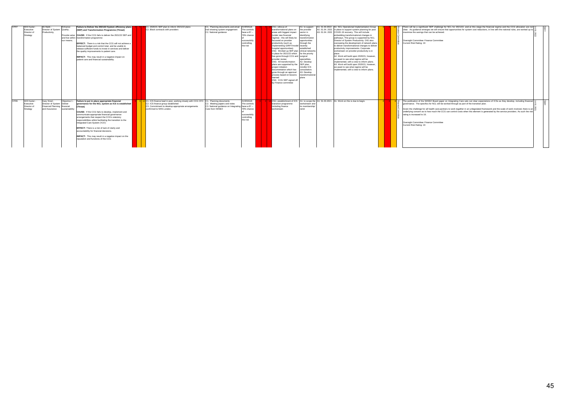| STR7<br>STR <sub>6</sub> | Will Huxter<br>Executive<br>Director of<br>Strategy | Ali Malik -<br>Director of System Quality;<br>Productivity.                                 | Enhance<br>our means:         | Failure to Deliver the 2021/22 System efficiency plans<br>(SEP) and Transformation Programme (Threat)<br>Provide value CAUSE: If the CCG fails to deliver the 2021/22 SEP and<br>and live within transformation programme<br>EFFECT: There is a risk that the CCG will not achieve a<br>balanced budget and control total, and be unable to<br>release sufficient funds to invest in services and deliver<br>the quality improvements to patient care.<br><b>IMPACT:</b> This may result in a negative impact on<br>patient care and financial sustainability.                  | C1. 2020/21 SEP plan to inform 2021/22 plans<br>C <sub>2</sub> . Block contracts with providers                                                                                                                         | C1. Planning documents and email AVERAGE:<br>trail showing system engagement<br>C2. National guidance             | The controls<br>have a $61 -$<br>79% chance<br>successfully<br>controlling<br>the risk | CN1: refocus of<br>A1: to support<br>transformational plans on<br>the provider<br>areas with biggest impact<br>sector in<br>(under new financial<br>identifving<br>regime) - this will likely be<br>transformation<br>focussed on provider<br>opportunities<br>productivity (such as<br>through the<br>implementing GIRFT/model recently<br>hospital opportunities).<br>stablished<br>CN2. Worked up SEP plan clinical networks<br>in place for 2021/22 which for the priority<br>has gone through CCG and surgical<br>provider review<br>specialities.<br>CN3. All transformation<br>A2. Develop<br>plans are supported by the SEP plan,<br>project initiation<br>mindful ICS<br>documentation which has<br>consultation.<br>gone through an approval A3. Develop<br>process based on lessons<br>transformational<br>learned<br>CN4. CCG SEP signed off<br>by Finance committee | A1: 31.03.2022 A1: NCL Operational Implementation Group<br>A2. 01.04. 2021 in place to support system planning for post<br>A3, 01.04, 2021 COVID-19 recovery. This will include<br>embedding transformational changes in<br>pathways. This group is supported by NCL<br>Director of System Productivity, OIG also<br>overseeing the development of network plans<br>to deliver transformational changes to deliver<br>productivity improvements. Corporate<br>workstream on provider productivity is in<br>A2. Work will build upon 2020/21, however,<br>we await to see what regime will be<br>implemented, with a view to inform plans.<br>A3. Work will build upon 2020/21, however,<br>we await to see what regime will be<br>implemented, with a view to inform plans. | There will be a significant SEP challenge for NCL for 2021/22, and at this stage the financial regime and the CCG allocation are not $\frac{1}{6}$<br>clear. As quidance emerges we will ensure that opportunities for system cost reductions, in line with the national rules, are worked up to<br>maximise the savings that can be achieved.<br>Oversight Committee: Finance Committee<br>Current Risk Rating: 16                                                                                                                                                                                                          |
|--------------------------|-----------------------------------------------------|---------------------------------------------------------------------------------------------|-------------------------------|---------------------------------------------------------------------------------------------------------------------------------------------------------------------------------------------------------------------------------------------------------------------------------------------------------------------------------------------------------------------------------------------------------------------------------------------------------------------------------------------------------------------------------------------------------------------------------|-------------------------------------------------------------------------------------------------------------------------------------------------------------------------------------------------------------------------|-------------------------------------------------------------------------------------------------------------------|----------------------------------------------------------------------------------------|----------------------------------------------------------------------------------------------------------------------------------------------------------------------------------------------------------------------------------------------------------------------------------------------------------------------------------------------------------------------------------------------------------------------------------------------------------------------------------------------------------------------------------------------------------------------------------------------------------------------------------------------------------------------------------------------------------------------------------------------------------------------------------------------------------------------------------------------------------------------------------|-----------------------------------------------------------------------------------------------------------------------------------------------------------------------------------------------------------------------------------------------------------------------------------------------------------------------------------------------------------------------------------------------------------------------------------------------------------------------------------------------------------------------------------------------------------------------------------------------------------------------------------------------------------------------------------------------------------------------------------------------------------------------------|------------------------------------------------------------------------------------------------------------------------------------------------------------------------------------------------------------------------------------------------------------------------------------------------------------------------------------------------------------------------------------------------------------------------------------------------------------------------------------------------------------------------------------------------------------------------------------------------------------------------------|
|                          | Will Huxter<br>Executive<br>Director of<br>Strategy | Gary Sired -<br>Director of System Deliver<br>Financial Planning financial<br>and Assurance | Objective 1<br>sustainability | Failure to put in place appropriate financial<br>governance for the NCL system as ICS is established<br>(Threat)<br><b>CAUSE:</b> If the CCG fails to develop, implement and<br>communicate appropriate financial governance<br>arrangements that respect the CCG's statutory<br>responsibilities whilst facilitating the transition to the<br>Integrated Care System ('ICS')<br>EFFECT: There is a risk of lack of clarity and<br>accountability for financial decisions.<br><b>IMPACT:</b> This may result in a negative impact on the<br>reputation and functions of the CCG | 2 C1. ICS finance lead in post, working closely with CCG CFO C1. Planning documents<br>C <sub>2</sub> . ICS finance group established<br>C3. Commitment to develop appropriate arrangements<br>confirmed to NHS London. | C <sub>2</sub> . Meeting papers and notes<br>C3. National guidance on Integrating have a 61 -<br>Care from NHSE/I | AVERAGE:<br>The controls<br>79% chance<br>successfully<br>controlling<br>the risk      | CN1: establishment of ICS A1: to scope the A1: 31.03.2021 A1. Work on this is due to begin<br>transition programme<br>workstream and<br>including finance<br>its membership/<br>workstream<br>remit                                                                                                                                                                                                                                                                                                                                                                                                                                                                                                                                                                                                                                                                              |                                                                                                                                                                                                                                                                                                                                                                                                                                                                                                                                                                                                                                                                                                                                                                             | The publication of the NHSE/I Board paper on Integrating Care sets out clear expectations of ICSs as they develop, including financial<br>governance. The specifics for NCL will be worked through as part of the transition plan.<br>Given the challenge for all health care partners to work together in an unlegislated framework and the scale of work involved, there is an<br>underlying concern as to how much the CCG can control costs when this element is generated by the service providers. As such the risk<br>rating is increased to 16.<br>Oversight Committee: Finance Committee<br>Current Risk Rating: 16 |